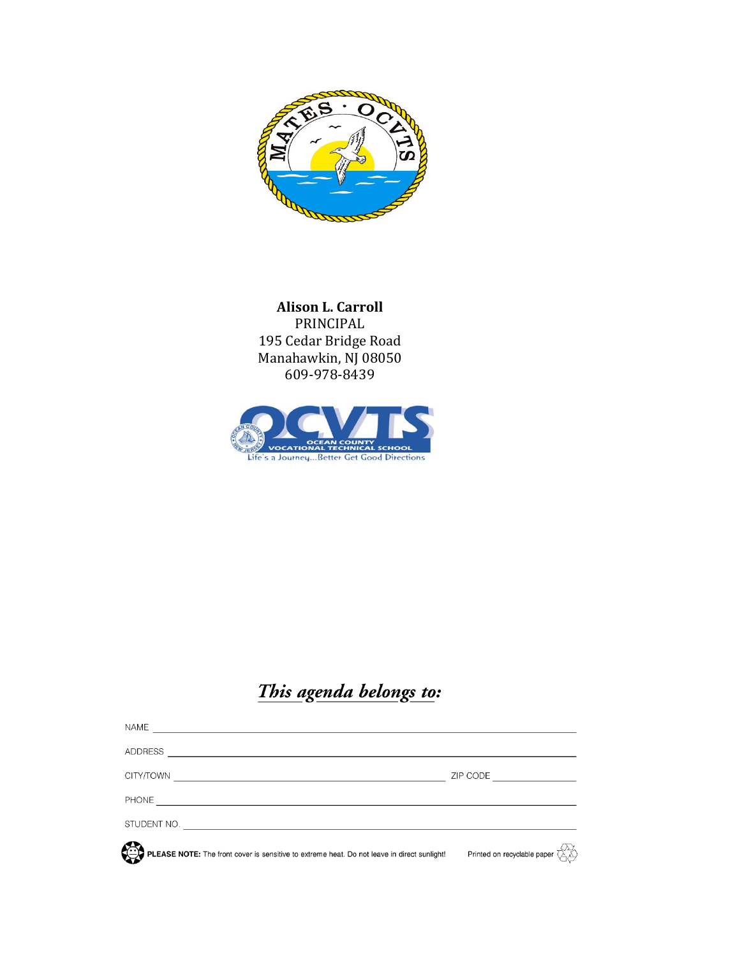

**Alison L. Carroll** PRINCIPAL 195 Cedar Bridge Road Manahawkin, NJ 08050 609-978-8439



# This agenda belongs to:

| NAME                                                                                        |                                                                                  |
|---------------------------------------------------------------------------------------------|----------------------------------------------------------------------------------|
| <b>ADDRESS</b>                                                                              |                                                                                  |
| CITY/TOWN                                                                                   | ZIP CODE <u>________________</u>                                                 |
|                                                                                             |                                                                                  |
|                                                                                             |                                                                                  |
| PLEASE NOTE: The front cover is sensitive to extreme heat. Do not leave in direct sunlight! | Printed on recyclable paper $\overline{\left(\bigwedge^{\{1,2\}}_{i=1} \right)}$ |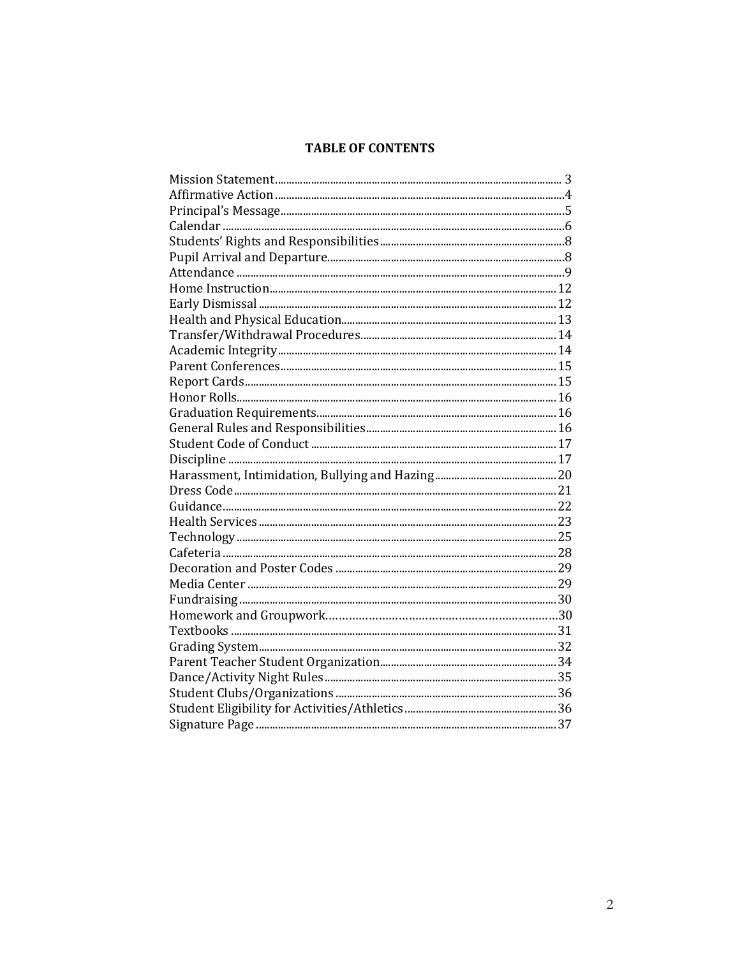# **TABLE OF CONTENTS**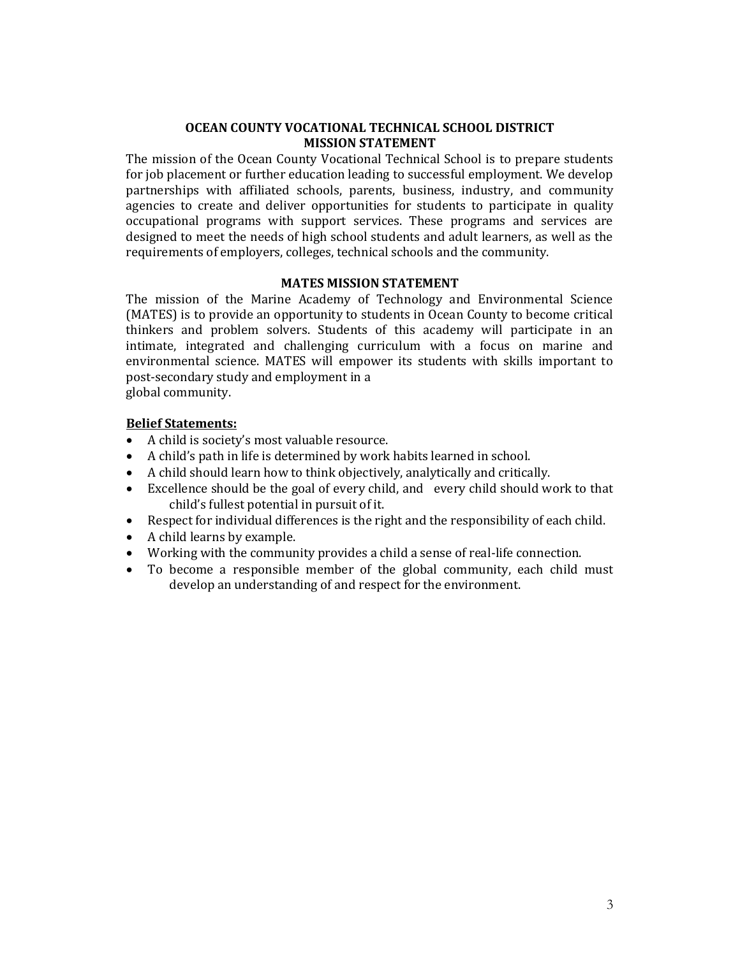# **OCEAN COUNTY VOCATIONAL TECHNICAL SCHOOL DISTRICT MISSION STATEMENT**

The mission of the Ocean County Vocational Technical School is to prepare students for job placement or further education leading to successful employment. We develop partnerships with affiliated schools, parents, business, industry, and community agencies to create and deliver opportunities for students to participate in quality occupational programs with support services. These programs and services are designed to meet the needs of high school students and adult learners, as well as the requirements of employers, colleges, technical schools and the community.

# **MATES MISSION STATEMENT**

The mission of the Marine Academy of Technology and Environmental Science (MATES) is to provide an opportunity to students in Ocean County to become critical thinkers and problem solvers. Students of this academy will participate in an intimate, integrated and challenging curriculum with a focus on marine and environmental science. MATES will empower its students with skills important to post-secondary study and employment in a

global community.

# **Belief Statements:**

- A child is society's most valuable resource.
- A child's path in life is determined by work habits learned in school.
- A child should learn how to think objectively, analytically and critically.
- Excellence should be the goal of every child, and every child should work to that child's fullest potential in pursuit of it.
- Respect for individual differences is the right and the responsibility of each child.
- A child learns by example.
- Working with the community provides a child a sense of real-life connection.
- To become a responsible member of the global community, each child must develop an understanding of and respect for the environment.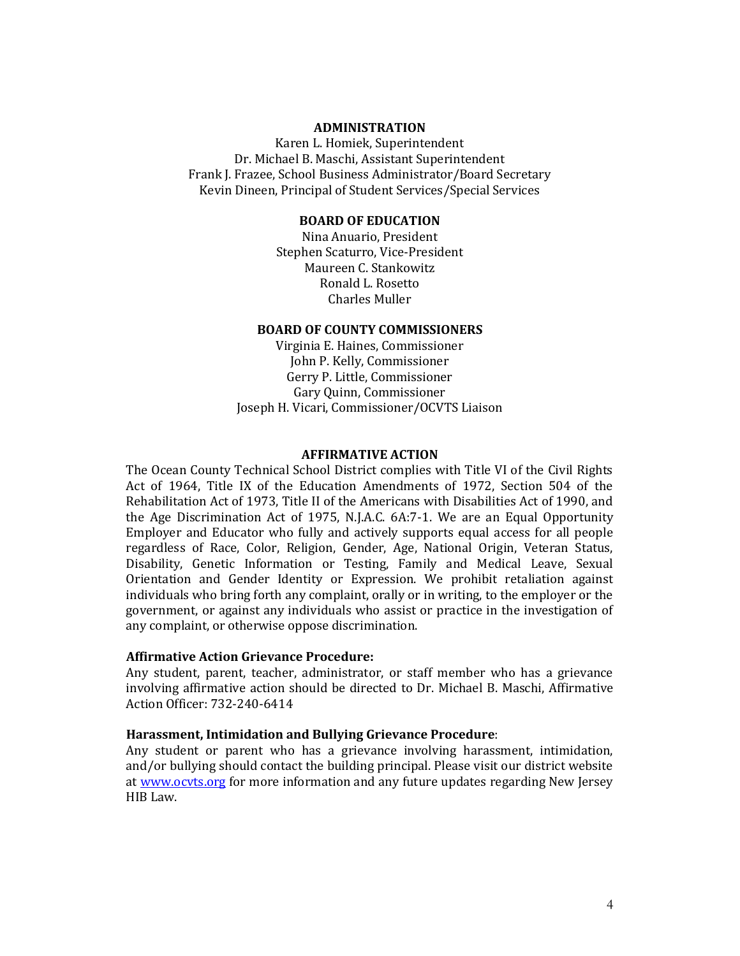#### **ADMINISTRATION**

Karen L. Homiek, Superintendent Dr. Michael B. Maschi, Assistant Superintendent Frank J. Frazee, School Business Administrator/Board Secretary Kevin Dineen, Principal of Student Services/Special Services

## **BOARD OF EDUCATION**

Nina Anuario, President Stephen Scaturro, Vice-President Maureen C. Stankowitz Ronald L. Rosetto Charles Muller

## **BOARD OF COUNTY COMMISSIONERS**

Virginia E. Haines, Commissioner John P. Kelly, Commissioner Gerry P. Little, Commissioner Gary Quinn, Commissioner Joseph H. Vicari, Commissioner/OCVTS Liaison

#### **AFFIRMATIVE ACTION**

The Ocean County Technical School District complies with Title VI of the Civil Rights Act of 1964, Title IX of the Education Amendments of 1972, Section 504 of the Rehabilitation Act of 1973, Title II of the Americans with Disabilities Act of 1990, and the Age Discrimination Act of 1975, N.J.A.C. 6A:7-1. We are an Equal Opportunity Employer and Educator who fully and actively supports equal access for all people regardless of Race, Color, Religion, Gender, Age, National Origin, Veteran Status, Disability, Genetic Information or Testing, Family and Medical Leave, Sexual Orientation and Gender Identity or Expression. We prohibit retaliation against individuals who bring forth any complaint, orally or in writing, to the employer or the government, or against any individuals who assist or practice in the investigation of any complaint, or otherwise oppose discrimination.

## **Affirmative Action Grievance Procedure:**

Any student, parent, teacher, administrator, or staff member who has a grievance involving affirmative action should be directed to Dr. Michael B. Maschi, Affirmative Action Officer: 732-240-6414

#### **Harassment, Intimidation and Bullying Grievance Procedure**:

Any student or parent who has a grievance involving harassment, intimidation, and/or bullying should contact the building principal. Please visit our district website at [www.ocvts.org](http://www.ocvts.org/) for more information and any future updates regarding New Jersey HIB Law.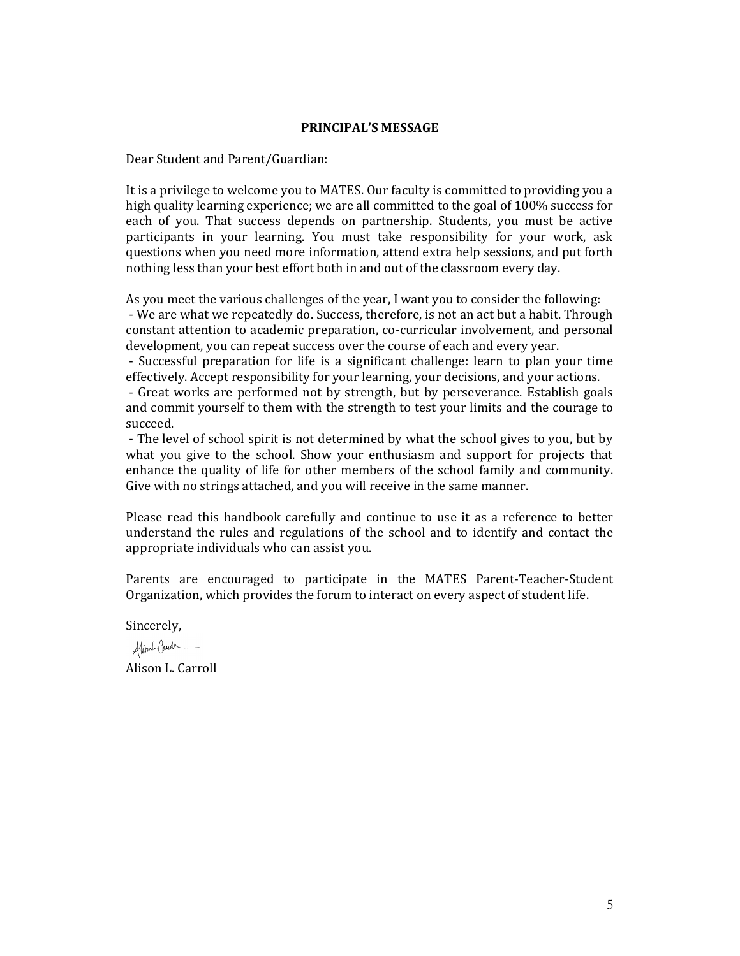#### **PRINCIPAL'S MESSAGE**

Dear Student and Parent/Guardian:

It is a privilege to welcome you to MATES. Our faculty is committed to providing you a high quality learning experience; we are all committed to the goal of 100% success for each of you. That success depends on partnership. Students, you must be active participants in your learning. You must take responsibility for your work, ask questions when you need more information, attend extra help sessions, and put forth nothing less than your best effort both in and out of the classroom every day.

As you meet the various challenges of the year, I want you to consider the following: - We are what we repeatedly do. Success, therefore, is not an act but a habit. Through constant attention to academic preparation, co-curricular involvement, and personal development, you can repeat success over the course of each and every year.

- Successful preparation for life is a significant challenge: learn to plan your time effectively. Accept responsibility for your learning, your decisions, and your actions.

- Great works are performed not by strength, but by perseverance. Establish goals and commit yourself to them with the strength to test your limits and the courage to succeed.

- The level of school spirit is not determined by what the school gives to you, but by what you give to the school. Show your enthusiasm and support for projects that enhance the quality of life for other members of the school family and community. Give with no strings attached, and you will receive in the same manner.

Please read this handbook carefully and continue to use it as a reference to better understand the rules and regulations of the school and to identify and contact the appropriate individuals who can assist you.

Parents are encouraged to participate in the MATES Parent-Teacher-Student Organization, which provides the forum to interact on every aspect of student life.

Sincerely,

Alimal Canal

Alison L. Carroll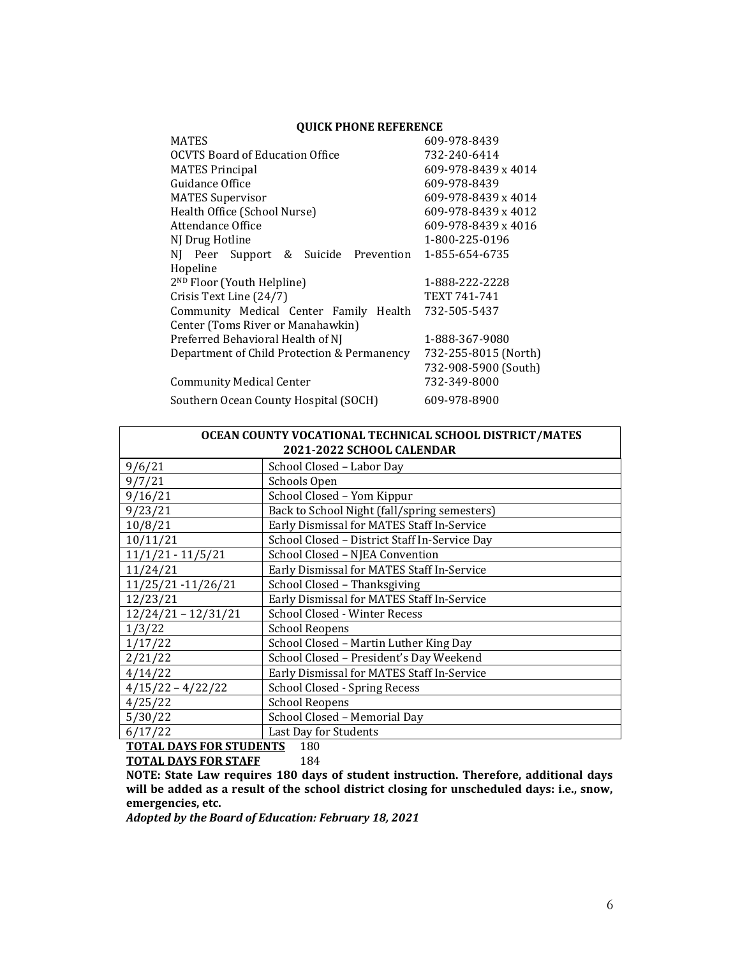## **QUICK PHONE REFERENCE**

| <b>MATES</b>                                | 609-978-8439         |
|---------------------------------------------|----------------------|
| <b>OCVTS Board of Education Office</b>      | 732-240-6414         |
| <b>MATES Principal</b>                      | 609-978-8439 x 4014  |
| Guidance Office                             | 609-978-8439         |
| <b>MATES Supervisor</b>                     | 609-978-8439 x 4014  |
| Health Office (School Nurse)                | 609-978-8439 x 4012  |
| Attendance Office                           | 609-978-8439 x 4016  |
| NJ Drug Hotline                             | 1-800-225-0196       |
| NJ Peer Support & Suicide Prevention        | 1-855-654-6735       |
| Hopeline                                    |                      |
| 2 <sup>ND</sup> Floor (Youth Helpline)      | 1-888-222-2228       |
| Crisis Text Line (24/7)                     | TEXT 741-741         |
| Community Medical Center Family Health      | 732-505-5437         |
| Center (Toms River or Manahawkin)           |                      |
| Preferred Behavioral Health of NJ           | 1-888-367-9080       |
| Department of Child Protection & Permanency | 732-255-8015 (North) |
|                                             | 732-908-5900 (South) |
| <b>Community Medical Center</b>             | 732-349-8000         |
| Southern Ocean County Hospital (SOCH)       | 609-978-8900         |

| OCEAN COUNTY VOCATIONAL TECHNICAL SCHOOL DISTRICT/MATES |                                               |  |
|---------------------------------------------------------|-----------------------------------------------|--|
| 2021-2022 SCHOOL CALENDAR                               |                                               |  |
| 9/6/21                                                  | School Closed - Labor Day                     |  |
| 9/7/21                                                  | Schools Open                                  |  |
| 9/16/21                                                 | School Closed - Yom Kippur                    |  |
| 9/23/21                                                 | Back to School Night (fall/spring semesters)  |  |
| 10/8/21                                                 | Early Dismissal for MATES Staff In-Service    |  |
| 10/11/21                                                | School Closed - District Staff In-Service Day |  |
| $11/1/21 - 11/5/21$                                     | School Closed - NJEA Convention               |  |
| 11/24/21                                                | Early Dismissal for MATES Staff In-Service    |  |
| 11/25/21 -11/26/21                                      | School Closed - Thanksgiving                  |  |
| 12/23/21                                                | Early Dismissal for MATES Staff In-Service    |  |
| $12/24/21 - 12/31/21$                                   | School Closed - Winter Recess                 |  |
| 1/3/22                                                  | <b>School Reopens</b>                         |  |
| 1/17/22                                                 | School Closed - Martin Luther King Day        |  |
| 2/21/22                                                 | School Closed - President's Day Weekend       |  |
| 4/14/22                                                 | Early Dismissal for MATES Staff In-Service    |  |
| $4/15/22 - 4/22/22$                                     | School Closed - Spring Recess                 |  |
| 4/25/22                                                 | <b>School Reopens</b>                         |  |
| 5/30/22                                                 | School Closed - Memorial Day                  |  |
| 6/17/22                                                 | Last Day for Students                         |  |

**TOTAL DAYS FOR STUDENTS** 180<br>**TOTAL DAYS FOR STAFF** 184

**TOTAL DAYS FOR STAFF** 

**NOTE: State Law requires 180 days of student instruction. Therefore, additional days will be added as a result of the school district closing for unscheduled days: i.e., snow, emergencies, etc.**

*Adopted by the Board of Education: February 18, 2021*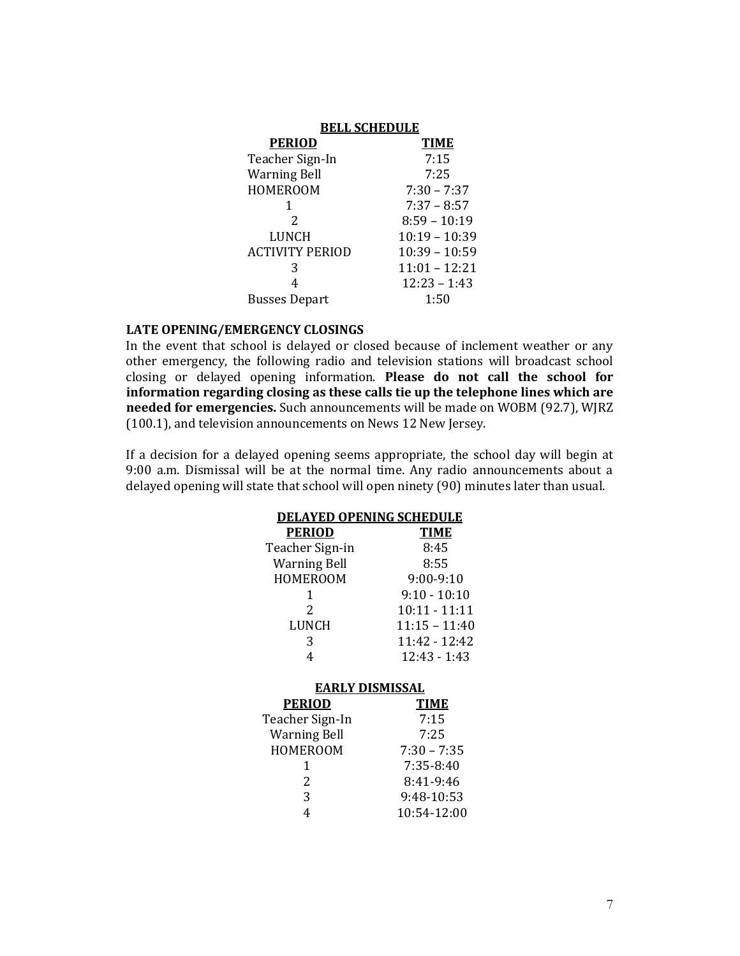| <b>BELL SCHEDULE</b> |  |  |
|----------------------|--|--|
| <b>TIME</b>          |  |  |
| 7:15                 |  |  |
| 7:25                 |  |  |
| $7:30 - 7:37$        |  |  |
| $7:37 - 8:57$        |  |  |
| $8:59 - 10:19$       |  |  |
| $10:19 - 10:39$      |  |  |
| $10:39 - 10:59$      |  |  |
| $11:01 - 12:21$      |  |  |
| $12:23 - 1:43$       |  |  |
| 1:50                 |  |  |
|                      |  |  |

## **LATE OPENING/EMERGENCY CLOSINGS**

In the event that school is delayed or closed because of inclement weather or any other emergency, the following radio and television stations will broadcast school closing or delayed opening information. **Please do not call the school for information regarding closing as these calls tie up the telephone lines which are needed for emergencies.** Such announcements will be made on WOBM (92.7), WJRZ (100.1), and television announcements on News 12 New Jersey.

If a decision for a delayed opening seems appropriate, the school day will begin at 9:00 a.m. Dismissal will be at the normal time. Any radio announcements about a delayed opening will state that school will open ninety (90) minutes later than usual.

| <b>DELAYED OPENING SCHEDULE</b> |                 |  |
|---------------------------------|-----------------|--|
| <u>PERIOD</u>                   | <b>TIME</b>     |  |
| Teacher Sign-in                 | 8:45            |  |
| <b>Warning Bell</b>             | 8:55            |  |
| HOMEROOM                        | $9:00-9:10$     |  |
| 1                               | $9:10 - 10:10$  |  |
| $\mathcal{D}_{\mathcal{L}}$     | 10:11 - 11:11   |  |
| LUNCH                           | $11:15 - 11:40$ |  |
| 3                               | 11:42 - 12:42   |  |
| 4                               | $12:43 - 1:43$  |  |
| EARLY DISMISSAL                 |                 |  |
| <b>PERIOD</b>                   | <b>TIME</b>     |  |
| Teacher Sign-In                 | 7:15            |  |
| <b>Warning Bell</b>             | 7:25            |  |
| HOMEROOM                        | $7:30 - 7:35$   |  |
| 1                               | $7:35-8:40$     |  |
| 2                               | 8:41-9:46       |  |
| 3                               | 9:48-10:53      |  |
| 4                               | 10:54-12:00     |  |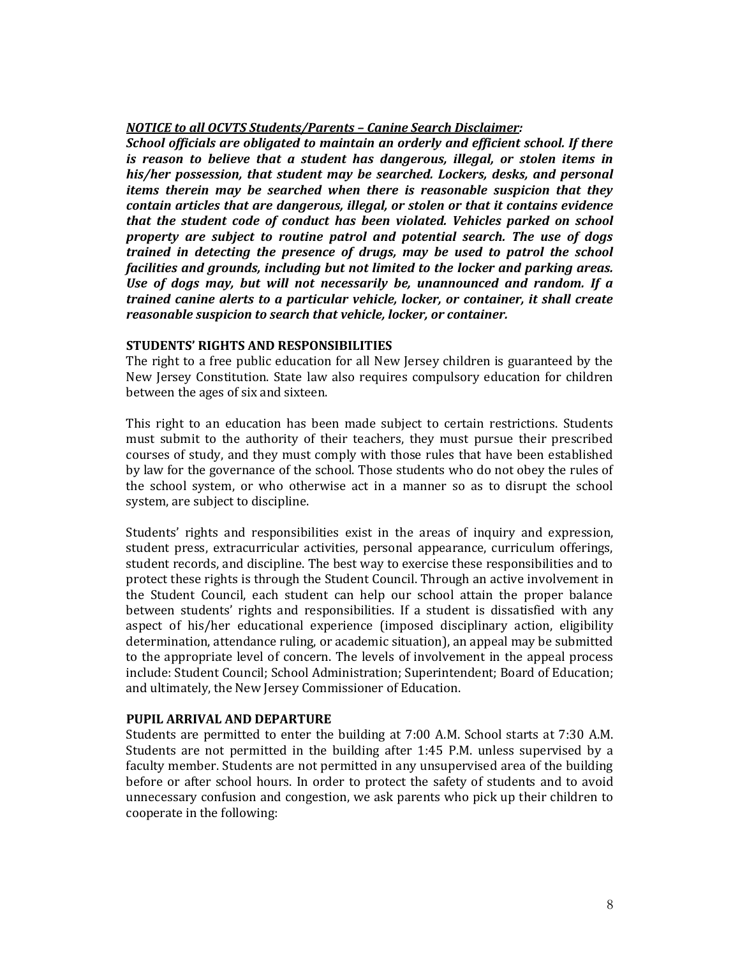# *NOTICE to all OCVTS Students/Parents – Canine Search Disclaimer:*

*School officials are obligated to maintain an orderly and efficient school. If there is reason to believe that a student has dangerous, illegal, or stolen items in his/her possession, that student may be searched. Lockers, desks, and personal items therein may be searched when there is reasonable suspicion that they contain articles that are dangerous, illegal, or stolen or that it contains evidence that the student code of conduct has been violated. Vehicles parked on school property are subject to routine patrol and potential search. The use of dogs trained in detecting the presence of drugs, may be used to patrol the school facilities and grounds, including but not limited to the locker and parking areas. Use of dogs may, but will not necessarily be, unannounced and random. If a trained canine alerts to a particular vehicle, locker, or container, it shall create reasonable suspicion to search that vehicle, locker, or container.* 

# **STUDENTS' RIGHTS AND RESPONSIBILITIES**

The right to a free public education for all New Jersey children is guaranteed by the New Jersey Constitution. State law also requires compulsory education for children between the ages of six and sixteen.

This right to an education has been made subject to certain restrictions. Students must submit to the authority of their teachers, they must pursue their prescribed courses of study, and they must comply with those rules that have been established by law for the governance of the school. Those students who do not obey the rules of the school system, or who otherwise act in a manner so as to disrupt the school system, are subject to discipline.

Students' rights and responsibilities exist in the areas of inquiry and expression, student press, extracurricular activities, personal appearance, curriculum offerings, student records, and discipline. The best way to exercise these responsibilities and to protect these rights is through the Student Council. Through an active involvement in the Student Council, each student can help our school attain the proper balance between students' rights and responsibilities. If a student is dissatisfied with any aspect of his/her educational experience (imposed disciplinary action, eligibility determination, attendance ruling, or academic situation), an appeal may be submitted to the appropriate level of concern. The levels of involvement in the appeal process include: Student Council; School Administration; Superintendent; Board of Education; and ultimately, the New Jersey Commissioner of Education.

# **PUPIL ARRIVAL AND DEPARTURE**

Students are permitted to enter the building at 7:00 A.M. School starts at 7:30 A.M. Students are not permitted in the building after 1:45 P.M. unless supervised by a faculty member. Students are not permitted in any unsupervised area of the building before or after school hours. In order to protect the safety of students and to avoid unnecessary confusion and congestion, we ask parents who pick up their children to cooperate in the following: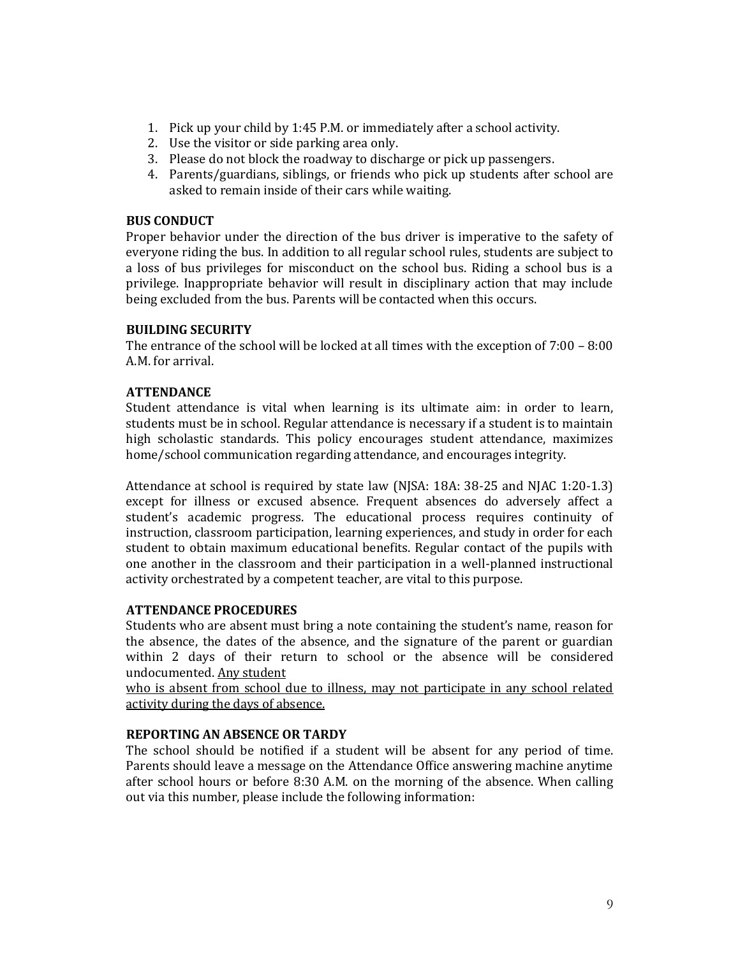- 1. Pick up your child by 1:45 P.M. or immediately after a school activity.
- 2. Use the visitor or side parking area only.
- 3. Please do not block the roadway to discharge or pick up passengers.
- 4. Parents/guardians, siblings, or friends who pick up students after school are asked to remain inside of their cars while waiting.

## **BUS CONDUCT**

Proper behavior under the direction of the bus driver is imperative to the safety of everyone riding the bus. In addition to all regular school rules, students are subject to a loss of bus privileges for misconduct on the school bus. Riding a school bus is a privilege. Inappropriate behavior will result in disciplinary action that may include being excluded from the bus. Parents will be contacted when this occurs.

## **BUILDING SECURITY**

The entrance of the school will be locked at all times with the exception of 7:00 – 8:00 A.M. for arrival.

# **ATTENDANCE**

Student attendance is vital when learning is its ultimate aim: in order to learn, students must be in school. Regular attendance is necessary if a student is to maintain high scholastic standards. This policy encourages student attendance, maximizes home/school communication regarding attendance, and encourages integrity.

Attendance at school is required by state law (NJSA: 18A: 38-25 and NJAC 1:20-1.3) except for illness or excused absence. Frequent absences do adversely affect a student's academic progress. The educational process requires continuity of instruction, classroom participation, learning experiences, and study in order for each student to obtain maximum educational benefits. Regular contact of the pupils with one another in the classroom and their participation in a well-planned instructional activity orchestrated by a competent teacher, are vital to this purpose.

#### **ATTENDANCE PROCEDURES**

Students who are absent must bring a note containing the student's name, reason for the absence, the dates of the absence, and the signature of the parent or guardian within 2 days of their return to school or the absence will be considered undocumented. Any student

who is absent from school due to illness, may not participate in any school related activity during the days of absence.

#### **REPORTING AN ABSENCE OR TARDY**

The school should be notified if a student will be absent for any period of time. Parents should leave a message on the Attendance Office answering machine anytime after school hours or before 8:30 A.M. on the morning of the absence. When calling out via this number, please include the following information: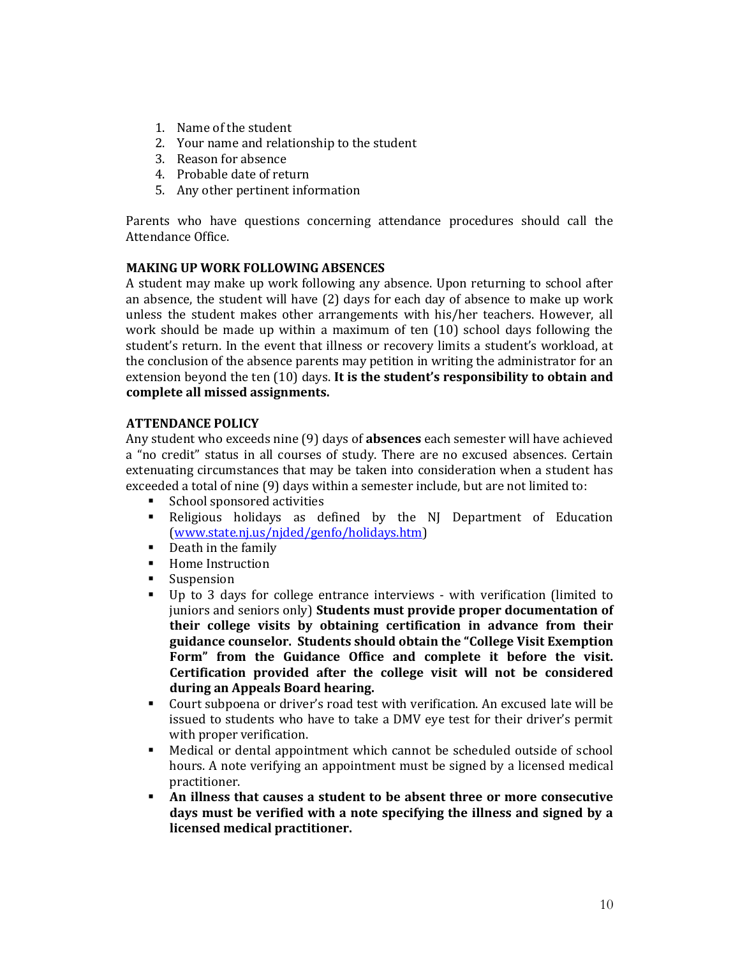- 1. Name of the student
- 2. Your name and relationship to the student
- 3. Reason for absence
- 4. Probable date of return
- 5. Any other pertinent information

Parents who have questions concerning attendance procedures should call the Attendance Office.

# **MAKING UP WORK FOLLOWING ABSENCES**

A student may make up work following any absence. Upon returning to school after an absence, the student will have (2) days for each day of absence to make up work unless the student makes other arrangements with his/her teachers. However, all work should be made up within a maximum of ten (10) school days following the student's return. In the event that illness or recovery limits a student's workload, at the conclusion of the absence parents may petition in writing the administrator for an extension beyond the ten (10) days. **It is the student's responsibility to obtain and complete all missed assignments.**

# **ATTENDANCE POLICY**

Any student who exceeds nine (9) days of **absences** each semester will have achieved a "no credit" status in all courses of study. There are no excused absences. Certain extenuating circumstances that may be taken into consideration when a student has exceeded a total of nine (9) days within a semester include, but are not limited to:

- School sponsored activities
- Religious holidays as defined by the NJ Department of Education [\(www.state.nj.us/njded/genfo/holidays.htm\)](http://www.state.nj.us/njded/genfo/holidays.htm)
- Death in the family
- Home Instruction
- Suspension
- Up to 3 days for college entrance interviews with verification (limited to juniors and seniors only) **Students must provide proper documentation of their college visits by obtaining certification in advance from their guidance counselor. Students should obtain the "College Visit Exemption Form" from the Guidance Office and complete it before the visit. Certification provided after the college visit will not be considered during an Appeals Board hearing.**
- Court subpoena or driver's road test with verification. An excused late will be issued to students who have to take a DMV eye test for their driver's permit with proper verification.
- Medical or dental appointment which cannot be scheduled outside of school hours. A note verifying an appointment must be signed by a licensed medical practitioner.
- An illness that causes a student to be absent three or more consecutive **days must be verified with a note specifying the illness and signed by a licensed medical practitioner.**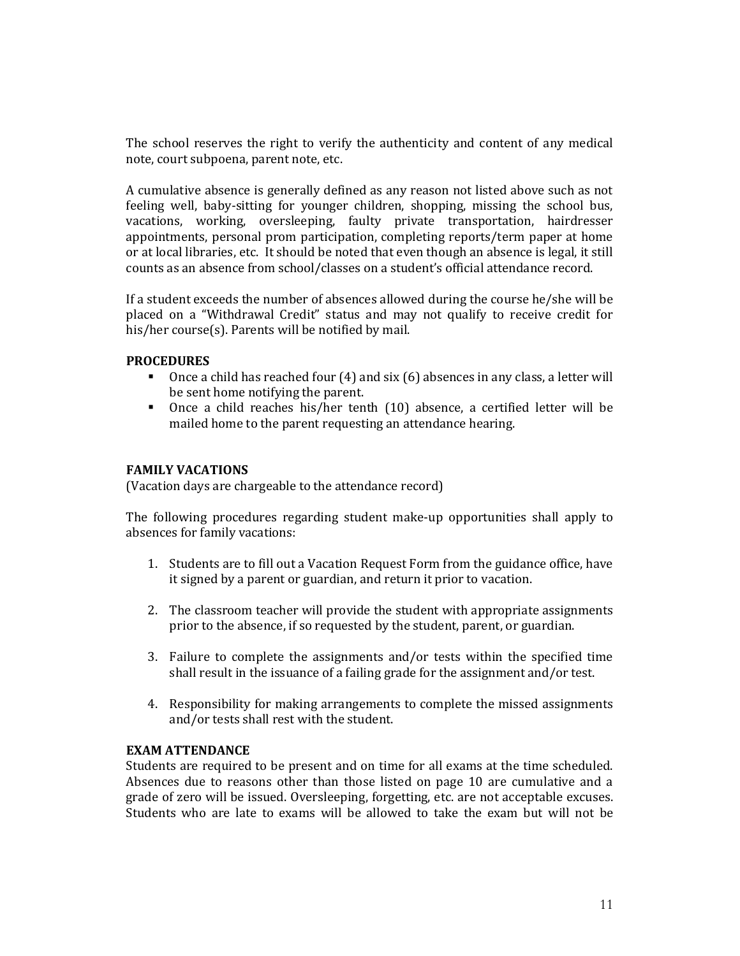The school reserves the right to verify the authenticity and content of any medical note, court subpoena, parent note, etc.

A cumulative absence is generally defined as any reason not listed above such as not feeling well, baby-sitting for younger children, shopping, missing the school bus, vacations, working, oversleeping, faulty private transportation, hairdresser appointments, personal prom participation, completing reports/term paper at home or at local libraries, etc. It should be noted that even though an absence is legal, it still counts as an absence from school/classes on a student's official attendance record.

If a student exceeds the number of absences allowed during the course he/she will be placed on a "Withdrawal Credit" status and may not qualify to receive credit for his/her course(s). Parents will be notified by mail.

## **PROCEDURES**

- Once a child has reached four (4) and six (6) absences in any class, a letter will be sent home notifying the parent.
- Once a child reaches his/her tenth (10) absence, a certified letter will be mailed home to the parent requesting an attendance hearing.

#### **FAMILY VACATIONS**

(Vacation days are chargeable to the attendance record)

The following procedures regarding student make-up opportunities shall apply to absences for family vacations:

- 1. Students are to fill out a Vacation Request Form from the guidance office, have it signed by a parent or guardian, and return it prior to vacation.
- 2. The classroom teacher will provide the student with appropriate assignments prior to the absence, if so requested by the student, parent, or guardian.
- 3. Failure to complete the assignments and/or tests within the specified time shall result in the issuance of a failing grade for the assignment and/or test.
- 4. Responsibility for making arrangements to complete the missed assignments and/or tests shall rest with the student.

## **EXAM ATTENDANCE**

Students are required to be present and on time for all exams at the time scheduled. Absences due to reasons other than those listed on page 10 are cumulative and a grade of zero will be issued. Oversleeping, forgetting, etc. are not acceptable excuses. Students who are late to exams will be allowed to take the exam but will not be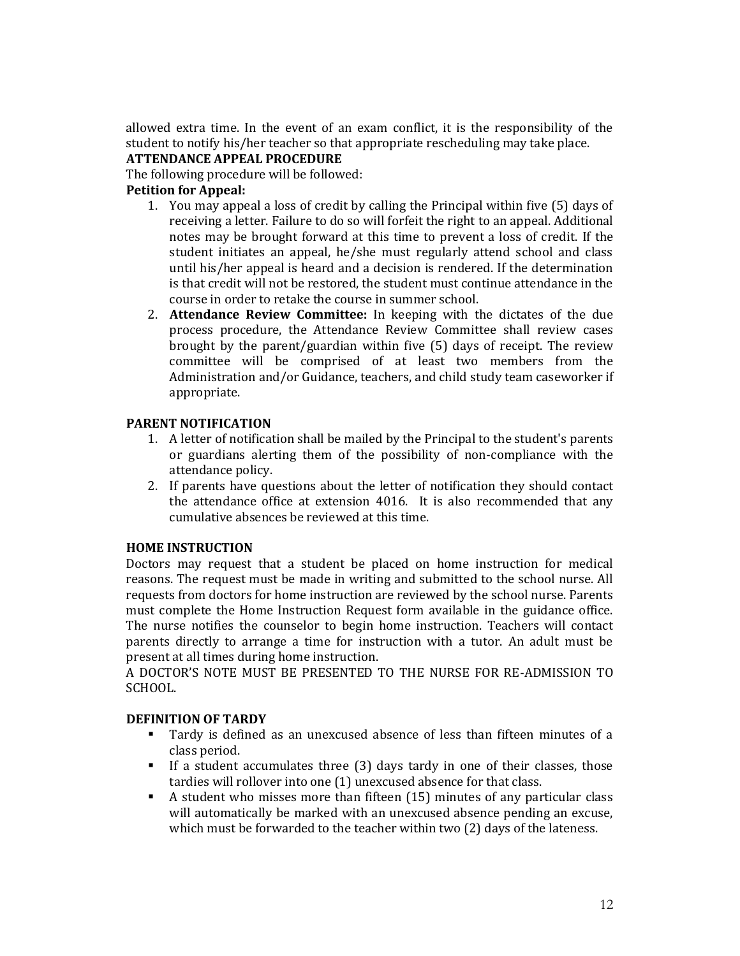allowed extra time. In the event of an exam conflict, it is the responsibility of the student to notify his/her teacher so that appropriate rescheduling may take place. **ATTENDANCE APPEAL PROCEDURE**

The following procedure will be followed:

# **Petition for Appeal:**

- 1. You may appeal a loss of credit by calling the Principal within five (5) days of receiving a letter. Failure to do so will forfeit the right to an appeal. Additional notes may be brought forward at this time to prevent a loss of credit. If the student initiates an appeal, he/she must regularly attend school and class until his/her appeal is heard and a decision is rendered. If the determination is that credit will not be restored, the student must continue attendance in the course in order to retake the course in summer school.
- 2. **Attendance Review Committee:** In keeping with the dictates of the due process procedure, the Attendance Review Committee shall review cases brought by the parent/guardian within five (5) days of receipt. The review committee will be comprised of at least two members from the Administration and/or Guidance, teachers, and child study team caseworker if appropriate.

# **PARENT NOTIFICATION**

- 1. A letter of notification shall be mailed by the Principal to the student's parents or guardians alerting them of the possibility of non-compliance with the attendance policy.
- 2. If parents have questions about the letter of notification they should contact the attendance office at extension 4016. It is also recommended that any cumulative absences be reviewed at this time.

# **HOME INSTRUCTION**

Doctors may request that a student be placed on home instruction for medical reasons. The request must be made in writing and submitted to the school nurse. All requests from doctors for home instruction are reviewed by the school nurse. Parents must complete the Home Instruction Request form available in the guidance office. The nurse notifies the counselor to begin home instruction. Teachers will contact parents directly to arrange a time for instruction with a tutor. An adult must be present at all times during home instruction.

A DOCTOR'S NOTE MUST BE PRESENTED TO THE NURSE FOR RE-ADMISSION TO SCHOOL.

# **DEFINITION OF TARDY**

- Tardy is defined as an unexcused absence of less than fifteen minutes of a class period.
- If a student accumulates three (3) days tardy in one of their classes, those tardies will rollover into one (1) unexcused absence for that class.
- A student who misses more than fifteen (15) minutes of any particular class will automatically be marked with an unexcused absence pending an excuse, which must be forwarded to the teacher within two (2) days of the lateness.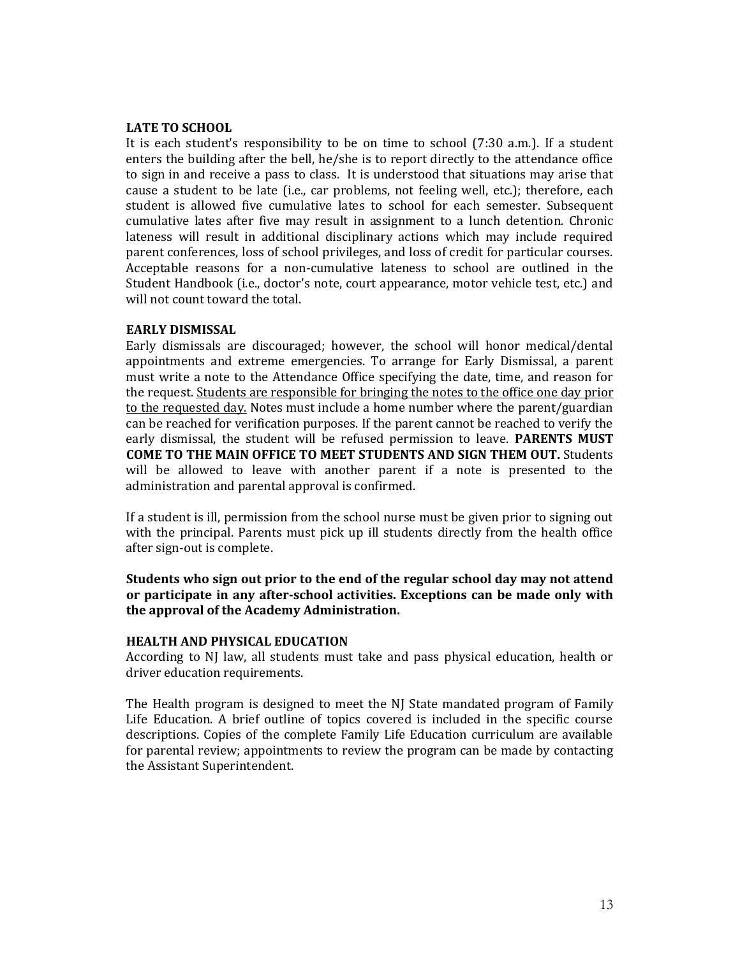## **LATE TO SCHOOL**

It is each student's responsibility to be on time to school (7:30 a.m.). If a student enters the building after the bell, he/she is to report directly to the attendance office to sign in and receive a pass to class. It is understood that situations may arise that cause a student to be late (i.e., car problems, not feeling well, etc.); therefore, each student is allowed five cumulative lates to school for each semester. Subsequent cumulative lates after five may result in assignment to a lunch detention. Chronic lateness will result in additional disciplinary actions which may include required parent conferences, loss of school privileges, and loss of credit for particular courses. Acceptable reasons for a non-cumulative lateness to school are outlined in the Student Handbook (i.e., doctor's note, court appearance, motor vehicle test, etc.) and will not count toward the total.

#### **EARLY DISMISSAL**

Early dismissals are discouraged; however, the school will honor medical/dental appointments and extreme emergencies. To arrange for Early Dismissal, a parent must write a note to the Attendance Office specifying the date, time, and reason for the request. Students are responsible for bringing the notes to the office one day prior to the requested day. Notes must include a home number where the parent/guardian can be reached for verification purposes. If the parent cannot be reached to verify the early dismissal, the student will be refused permission to leave. **PARENTS MUST COME TO THE MAIN OFFICE TO MEET STUDENTS AND SIGN THEM OUT.** Students will be allowed to leave with another parent if a note is presented to the administration and parental approval is confirmed.

If a student is ill, permission from the school nurse must be given prior to signing out with the principal. Parents must pick up ill students directly from the health office after sign-out is complete.

**Students who sign out prior to the end of the regular school day may not attend or participate in any after-school activities. Exceptions can be made only with the approval of the Academy Administration.**

#### **HEALTH AND PHYSICAL EDUCATION**

According to NJ law, all students must take and pass physical education, health or driver education requirements.

The Health program is designed to meet the NJ State mandated program of Family Life Education. A brief outline of topics covered is included in the specific course descriptions. Copies of the complete Family Life Education curriculum are available for parental review; appointments to review the program can be made by contacting the Assistant Superintendent.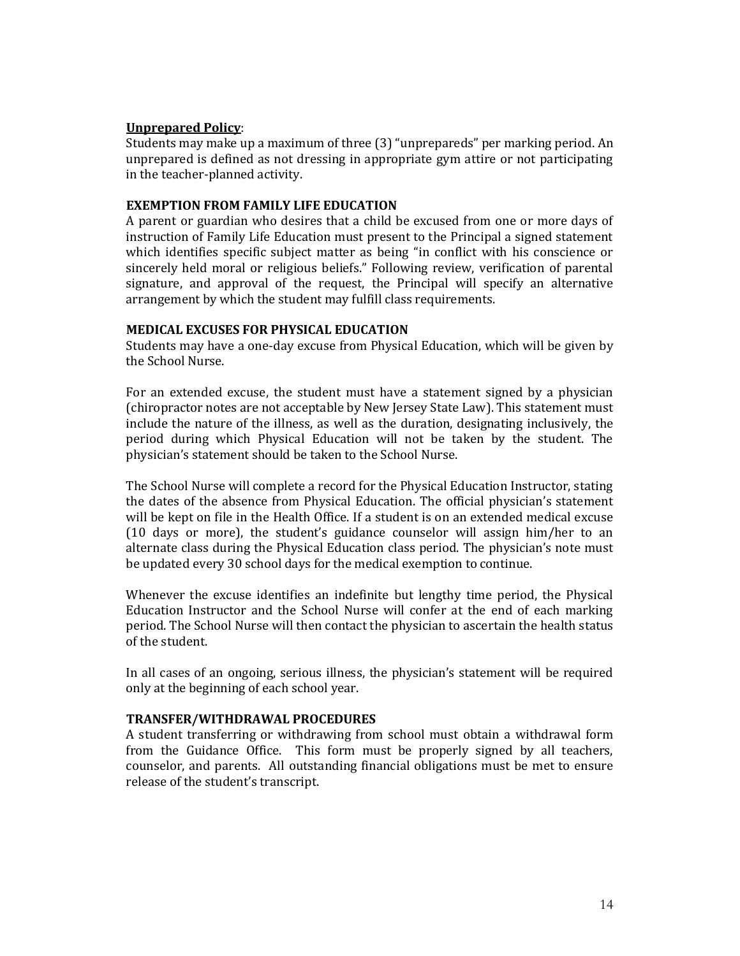# **Unprepared Policy**:

Students may make up a maximum of three (3) "unprepareds" per marking period. An unprepared is defined as not dressing in appropriate gym attire or not participating in the teacher-planned activity.

# **EXEMPTION FROM FAMILY LIFE EDUCATION**

A parent or guardian who desires that a child be excused from one or more days of instruction of Family Life Education must present to the Principal a signed statement which identifies specific subject matter as being "in conflict with his conscience or sincerely held moral or religious beliefs." Following review, verification of parental signature, and approval of the request, the Principal will specify an alternative arrangement by which the student may fulfill class requirements.

## **MEDICAL EXCUSES FOR PHYSICAL EDUCATION**

Students may have a one-day excuse from Physical Education, which will be given by the School Nurse.

For an extended excuse, the student must have a statement signed by a physician (chiropractor notes are not acceptable by New Jersey State Law). This statement must include the nature of the illness, as well as the duration, designating inclusively, the period during which Physical Education will not be taken by the student. The physician's statement should be taken to the School Nurse.

The School Nurse will complete a record for the Physical Education Instructor, stating the dates of the absence from Physical Education. The official physician's statement will be kept on file in the Health Office. If a student is on an extended medical excuse (10 days or more), the student's guidance counselor will assign him/her to an alternate class during the Physical Education class period. The physician's note must be updated every 30 school days for the medical exemption to continue.

Whenever the excuse identifies an indefinite but lengthy time period, the Physical Education Instructor and the School Nurse will confer at the end of each marking period. The School Nurse will then contact the physician to ascertain the health status of the student.

In all cases of an ongoing, serious illness, the physician's statement will be required only at the beginning of each school year.

# **TRANSFER/WITHDRAWAL PROCEDURES**

A student transferring or withdrawing from school must obtain a withdrawal form from the Guidance Office. This form must be properly signed by all teachers, counselor, and parents. All outstanding financial obligations must be met to ensure release of the student's transcript.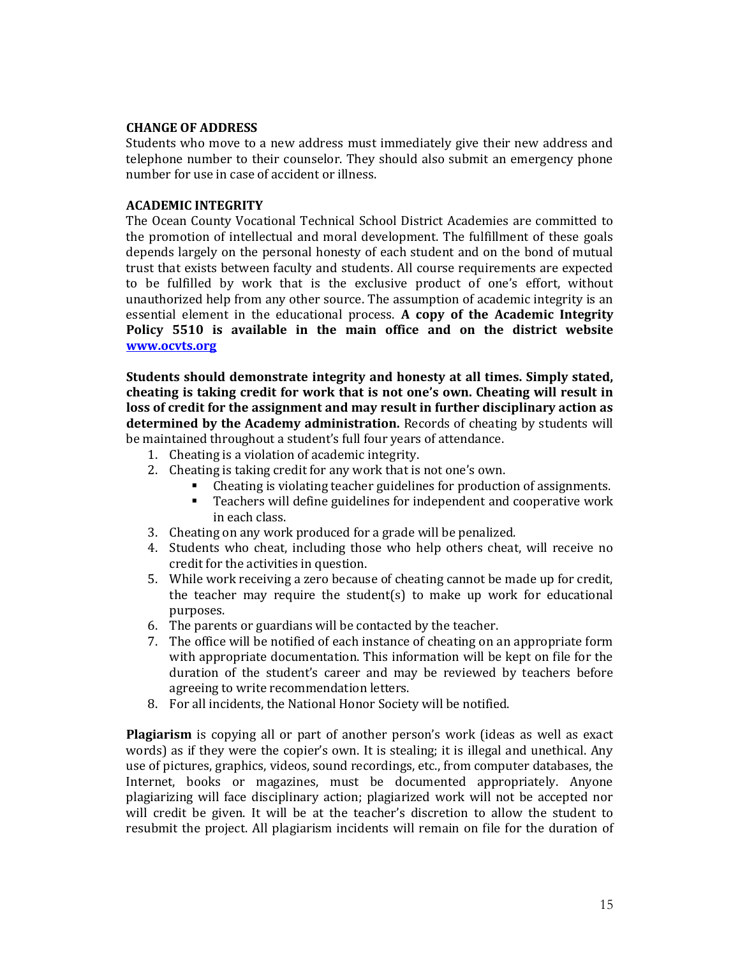## **CHANGE OF ADDRESS**

Students who move to a new address must immediately give their new address and telephone number to their counselor. They should also submit an emergency phone number for use in case of accident or illness.

# **ACADEMIC INTEGRITY**

The Ocean County Vocational Technical School District Academies are committed to the promotion of intellectual and moral development. The fulfillment of these goals depends largely on the personal honesty of each student and on the bond of mutual trust that exists between faculty and students. All course requirements are expected to be fulfilled by work that is the exclusive product of one's effort, without unauthorized help from any other source. The assumption of academic integrity is an essential element in the educational process. **A copy of the Academic Integrity Policy 5510 is available in the main office and on the district website [www.ocvts.org](http://www.ocvts.org/)**

**Students should demonstrate integrity and honesty at all times. Simply stated, cheating is taking credit for work that is not one's own. Cheating will result in loss of credit for the assignment and may result in further disciplinary action as determined by the Academy administration.** Records of cheating by students will be maintained throughout a student's full four years of attendance.

- 1. Cheating is a violation of academic integrity.
- 2. Cheating is taking credit for any work that is not one's own.
	- Cheating is violating teacher guidelines for production of assignments.
	- Teachers will define guidelines for independent and cooperative work in each class.
- 3. Cheating on any work produced for a grade will be penalized.
- 4. Students who cheat, including those who help others cheat, will receive no credit for the activities in question.
- 5. While work receiving a zero because of cheating cannot be made up for credit, the teacher may require the student(s) to make up work for educational purposes.
- 6. The parents or guardians will be contacted by the teacher.
- 7. The office will be notified of each instance of cheating on an appropriate form with appropriate documentation. This information will be kept on file for the duration of the student's career and may be reviewed by teachers before agreeing to write recommendation letters.
- 8. For all incidents, the National Honor Society will be notified.

**Plagiarism** is copying all or part of another person's work (ideas as well as exact words) as if they were the copier's own. It is stealing; it is illegal and unethical. Any use of pictures, graphics, videos, sound recordings, etc., from computer databases, the Internet, books or magazines, must be documented appropriately. Anyone plagiarizing will face disciplinary action; plagiarized work will not be accepted nor will credit be given. It will be at the teacher's discretion to allow the student to resubmit the project. All plagiarism incidents will remain on file for the duration of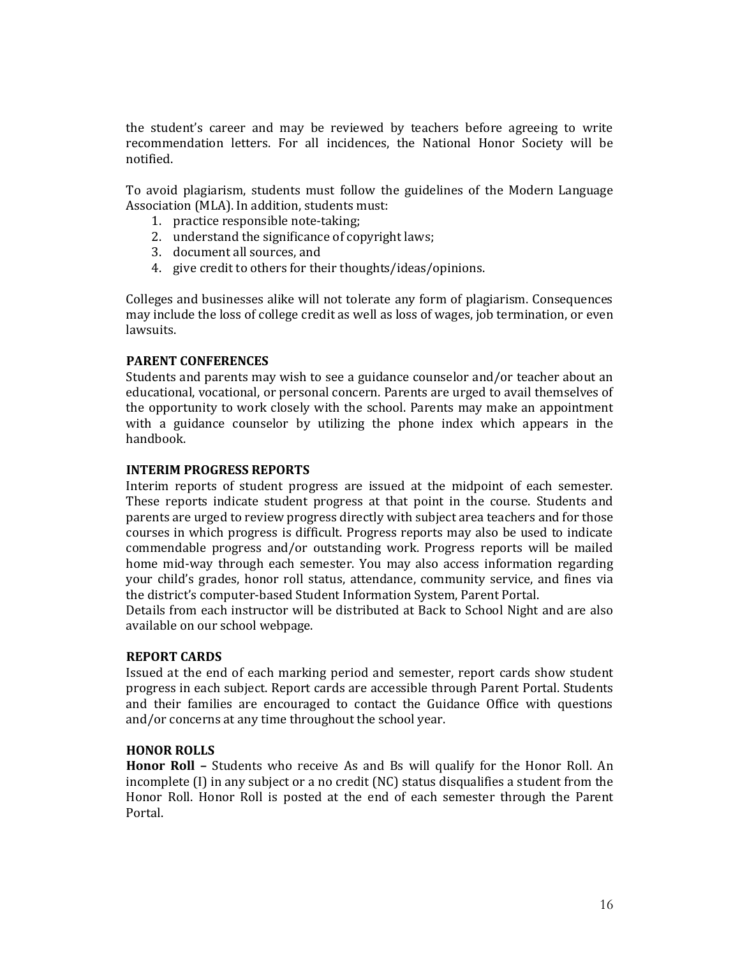the student's career and may be reviewed by teachers before agreeing to write recommendation letters. For all incidences, the National Honor Society will be notified.

To avoid plagiarism, students must follow the guidelines of the Modern Language Association (MLA). In addition, students must:

- 1. practice responsible note-taking;
- 2. understand the significance of copyright laws;
- 3. document all sources, and
- 4. give credit to others for their thoughts/ideas/opinions.

Colleges and businesses alike will not tolerate any form of plagiarism. Consequences may include the loss of college credit as well as loss of wages, job termination, or even lawsuits.

# **PARENT CONFERENCES**

Students and parents may wish to see a guidance counselor and/or teacher about an educational, vocational, or personal concern. Parents are urged to avail themselves of the opportunity to work closely with the school. Parents may make an appointment with a guidance counselor by utilizing the phone index which appears in the handbook.

# **INTERIM PROGRESS REPORTS**

Interim reports of student progress are issued at the midpoint of each semester. These reports indicate student progress at that point in the course. Students and parents are urged to review progress directly with subject area teachers and for those courses in which progress is difficult. Progress reports may also be used to indicate commendable progress and/or outstanding work. Progress reports will be mailed home mid-way through each semester. You may also access information regarding your child's grades, honor roll status, attendance, community service, and fines via the district's computer-based Student Information System, Parent Portal.

Details from each instructor will be distributed at Back to School Night and are also available on our school webpage.

# **REPORT CARDS**

Issued at the end of each marking period and semester, report cards show student progress in each subject. Report cards are accessible through Parent Portal. Students and their families are encouraged to contact the Guidance Office with questions and/or concerns at any time throughout the school year.

# **HONOR ROLLS**

**Honor Roll –** Students who receive As and Bs will qualify for the Honor Roll. An incomplete (I) in any subject or a no credit (NC) status disqualifies a student from the Honor Roll. Honor Roll is posted at the end of each semester through the Parent Portal.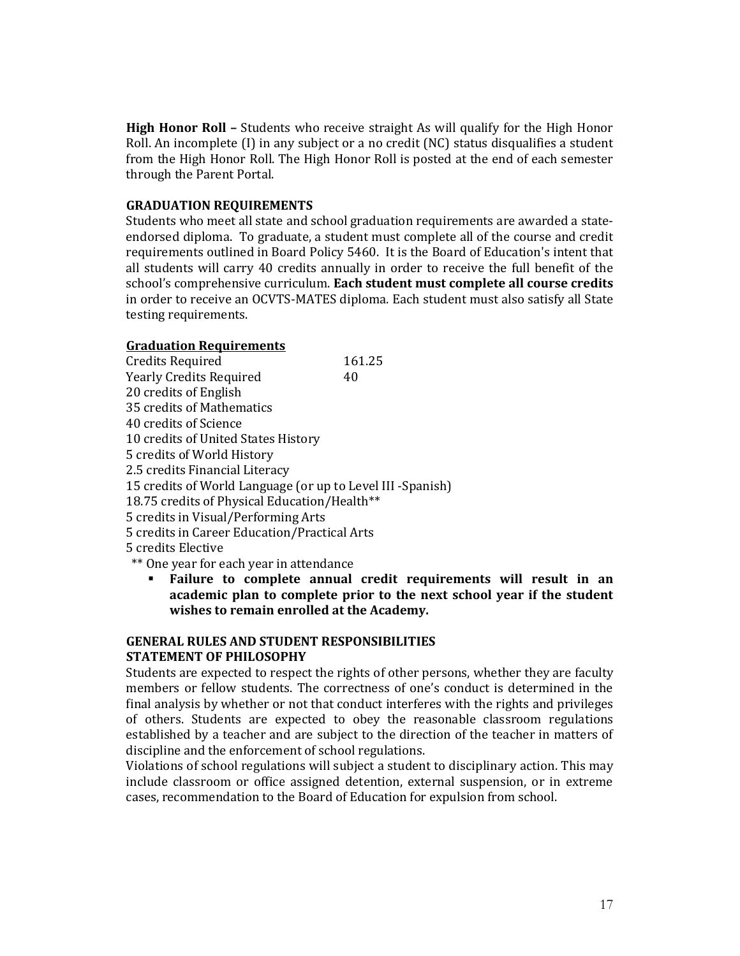**High Honor Roll –** Students who receive straight As will qualify for the High Honor Roll. An incomplete (I) in any subject or a no credit (NC) status disqualifies a student from the High Honor Roll. The High Honor Roll is posted at the end of each semester through the Parent Portal.

# **GRADUATION REQUIREMENTS**

Students who meet all state and school graduation requirements are awarded a stateendorsed diploma. To graduate, a student must complete all of the course and credit requirements outlined in Board Policy 5460. It is the Board of Education's intent that all students will carry 40 credits annually in order to receive the full benefit of the school's comprehensive curriculum. **Each student must complete all course credits** in order to receive an OCVTS-MATES diploma. Each student must also satisfy all State testing requirements.

# **Graduation Requirements**

| <b>Credits Required</b>                                    | 161.25 |
|------------------------------------------------------------|--------|
| <b>Yearly Credits Required</b>                             | 40     |
| 20 credits of English                                      |        |
| 35 credits of Mathematics                                  |        |
| 40 credits of Science                                      |        |
| 10 credits of United States History                        |        |
| 5 credits of World History                                 |        |
| 2.5 credits Financial Literacy                             |        |
| 15 credits of World Language (or up to Level III -Spanish) |        |
| 18.75 credits of Physical Education/Health**               |        |
| 5 credits in Visual/Performing Arts                        |        |
| 5 credits in Career Education/Practical Arts               |        |
| 5 credits Elective                                         |        |
| ** One year for each year in attendance                    |        |

▪ **Failure to complete annual credit requirements will result in an academic plan to complete prior to the next school year if the student wishes to remain enrolled at the Academy.**

# **GENERAL RULES AND STUDENT RESPONSIBILITIES STATEMENT OF PHILOSOPHY**

Students are expected to respect the rights of other persons, whether they are faculty members or fellow students. The correctness of one's conduct is determined in the final analysis by whether or not that conduct interferes with the rights and privileges of others. Students are expected to obey the reasonable classroom regulations established by a teacher and are subject to the direction of the teacher in matters of discipline and the enforcement of school regulations.

Violations of school regulations will subject a student to disciplinary action. This may include classroom or office assigned detention, external suspension, or in extreme cases, recommendation to the Board of Education for expulsion from school.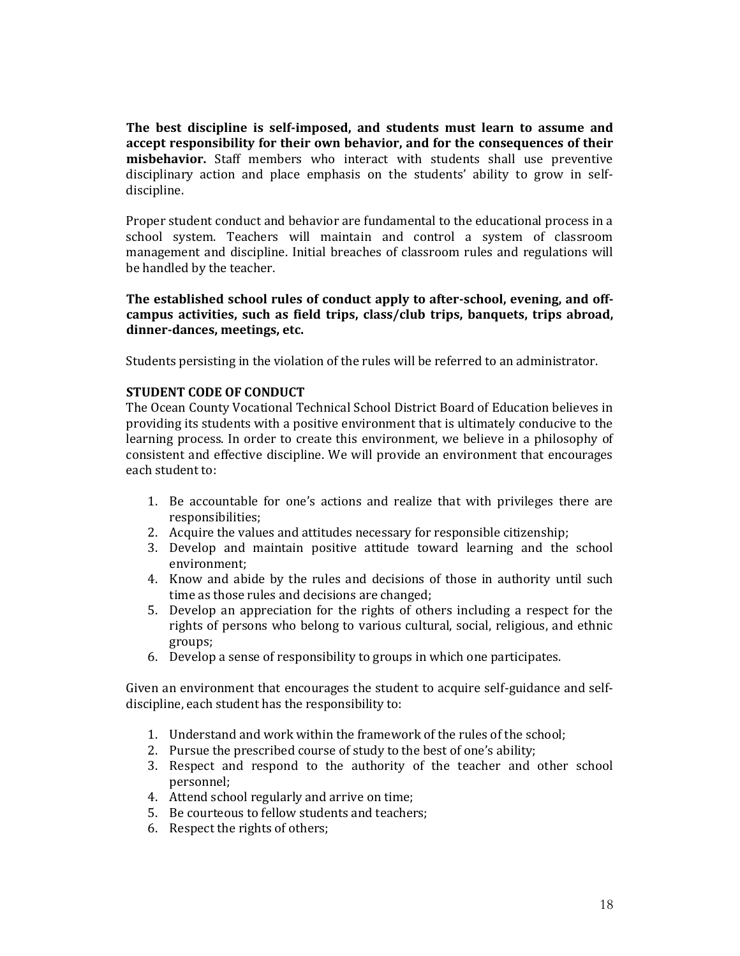**The best discipline is self-imposed, and students must learn to assume and accept responsibility for their own behavior, and for the consequences of their misbehavior.** Staff members who interact with students shall use preventive disciplinary action and place emphasis on the students' ability to grow in selfdiscipline.

Proper student conduct and behavior are fundamental to the educational process in a school system. Teachers will maintain and control a system of classroom management and discipline. Initial breaches of classroom rules and regulations will be handled by the teacher.

**The established school rules of conduct apply to after-school, evening, and offcampus activities, such as field trips, class/club trips, banquets, trips abroad, dinner-dances, meetings, etc.**

Students persisting in the violation of the rules will be referred to an administrator.

# **STUDENT CODE OF CONDUCT**

The Ocean County Vocational Technical School District Board of Education believes in providing its students with a positive environment that is ultimately conducive to the learning process. In order to create this environment, we believe in a philosophy of consistent and effective discipline. We will provide an environment that encourages each student to:

- 1. Be accountable for one's actions and realize that with privileges there are responsibilities;
- 2. Acquire the values and attitudes necessary for responsible citizenship;
- 3. Develop and maintain positive attitude toward learning and the school environment;
- 4. Know and abide by the rules and decisions of those in authority until such time as those rules and decisions are changed;
- 5. Develop an appreciation for the rights of others including a respect for the rights of persons who belong to various cultural, social, religious, and ethnic groups;
- 6. Develop a sense of responsibility to groups in which one participates.

Given an environment that encourages the student to acquire self-guidance and selfdiscipline, each student has the responsibility to:

- 1. Understand and work within the framework of the rules of the school;
- 2. Pursue the prescribed course of study to the best of one's ability;
- 3. Respect and respond to the authority of the teacher and other school personnel;
- 4. Attend school regularly and arrive on time;
- 5. Be courteous to fellow students and teachers;
- 6. Respect the rights of others;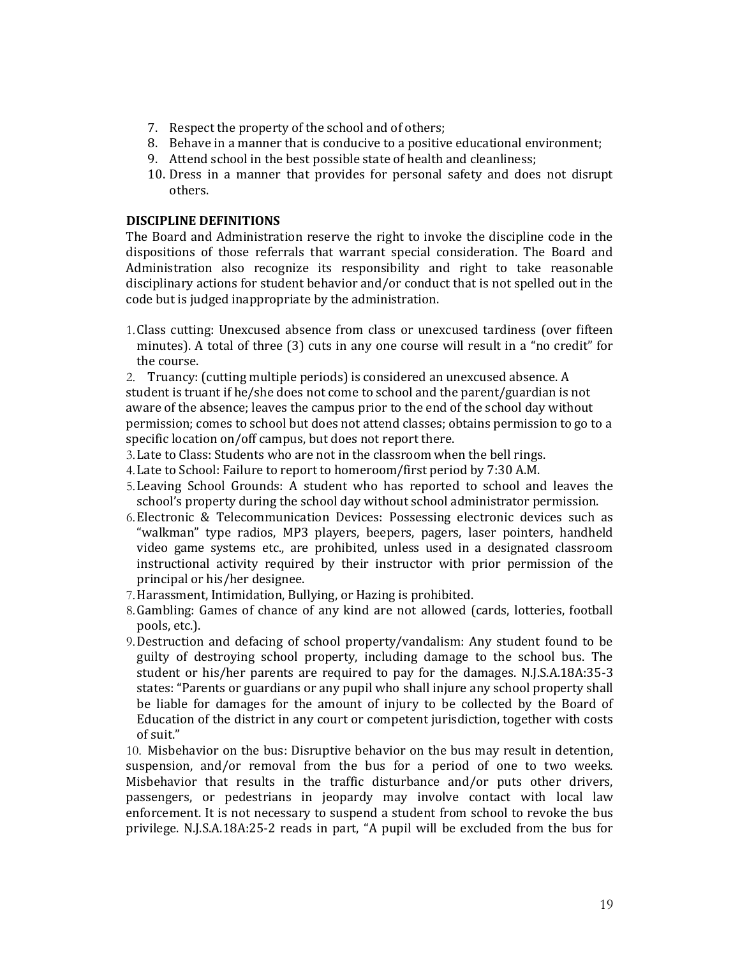- 7. Respect the property of the school and of others;
- 8. Behave in a manner that is conducive to a positive educational environment;
- 9. Attend school in the best possible state of health and cleanliness;
- 10. Dress in a manner that provides for personal safety and does not disrupt others.

## **DISCIPLINE DEFINITIONS**

The Board and Administration reserve the right to invoke the discipline code in the dispositions of those referrals that warrant special consideration. The Board and Administration also recognize its responsibility and right to take reasonable disciplinary actions for student behavior and/or conduct that is not spelled out in the code but is judged inappropriate by the administration.

1.Class cutting: Unexcused absence from class or unexcused tardiness (over fifteen minutes). A total of three (3) cuts in any one course will result in a "no credit" for the course.

2. Truancy: (cutting multiple periods) is considered an unexcused absence. A student is truant if he/she does not come to school and the parent/guardian is not aware of the absence; leaves the campus prior to the end of the school day without permission; comes to school but does not attend classes; obtains permission to go to a specific location on/off campus, but does not report there.

- 3.Late to Class: Students who are not in the classroom when the bell rings.
- 4.Late to School: Failure to report to homeroom/first period by 7:30 A.M.
- 5.Leaving School Grounds: A student who has reported to school and leaves the school's property during the school day without school administrator permission.
- 6.Electronic & Telecommunication Devices: Possessing electronic devices such as "walkman" type radios, MP3 players, beepers, pagers, laser pointers, handheld video game systems etc., are prohibited, unless used in a designated classroom instructional activity required by their instructor with prior permission of the principal or his/her designee.
- 7.Harassment, Intimidation, Bullying, or Hazing is prohibited.
- 8.Gambling: Games of chance of any kind are not allowed (cards, lotteries, football pools, etc.).
- 9.Destruction and defacing of school property/vandalism: Any student found to be guilty of destroying school property, including damage to the school bus. The student or his/her parents are required to pay for the damages. N.J.S.A.18A:35-3 states: "Parents or guardians or any pupil who shall injure any school property shall be liable for damages for the amount of injury to be collected by the Board of Education of the district in any court or competent jurisdiction, together with costs of suit."

10. Misbehavior on the bus: Disruptive behavior on the bus may result in detention, suspension, and/or removal from the bus for a period of one to two weeks. Misbehavior that results in the traffic disturbance and/or puts other drivers, passengers, or pedestrians in jeopardy may involve contact with local law enforcement. It is not necessary to suspend a student from school to revoke the bus privilege. N.J.S.A.18A:25-2 reads in part, "A pupil will be excluded from the bus for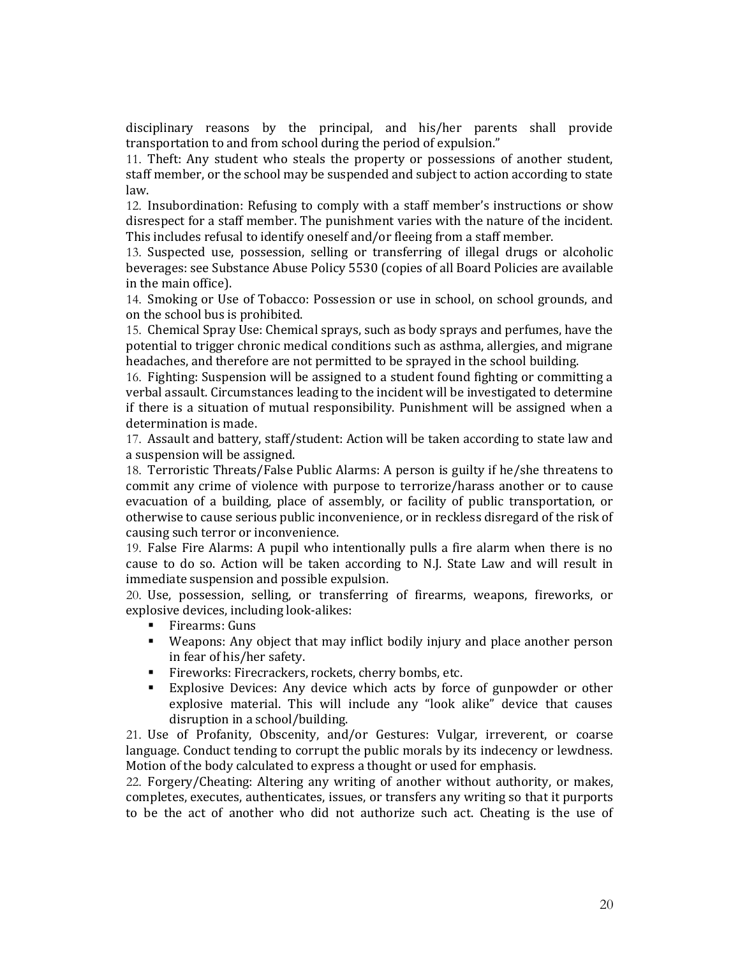disciplinary reasons by the principal, and his/her parents shall provide transportation to and from school during the period of expulsion."

11. Theft: Any student who steals the property or possessions of another student, staff member, or the school may be suspended and subject to action according to state law.

12. Insubordination: Refusing to comply with a staff member's instructions or show disrespect for a staff member. The punishment varies with the nature of the incident. This includes refusal to identify oneself and/or fleeing from a staff member.

13. Suspected use, possession, selling or transferring of illegal drugs or alcoholic beverages: see Substance Abuse Policy 5530 (copies of all Board Policies are available in the main office).

14. Smoking or Use of Tobacco: Possession or use in school, on school grounds, and on the school bus is prohibited.

15. Chemical Spray Use: Chemical sprays, such as body sprays and perfumes, have the potential to trigger chronic medical conditions such as asthma, allergies, and migrane headaches, and therefore are not permitted to be sprayed in the school building.

16. Fighting: Suspension will be assigned to a student found fighting or committing a verbal assault. Circumstances leading to the incident will be investigated to determine if there is a situation of mutual responsibility. Punishment will be assigned when a determination is made.

17. Assault and battery, staff/student: Action will be taken according to state law and a suspension will be assigned.

18. Terroristic Threats/False Public Alarms: A person is guilty if he/she threatens to commit any crime of violence with purpose to terrorize/harass another or to cause evacuation of a building, place of assembly, or facility of public transportation, or otherwise to cause serious public inconvenience, or in reckless disregard of the risk of causing such terror or inconvenience.

19. False Fire Alarms: A pupil who intentionally pulls a fire alarm when there is no cause to do so. Action will be taken according to N.J. State Law and will result in immediate suspension and possible expulsion.

20. Use, possession, selling, or transferring of firearms, weapons, fireworks, or explosive devices, including look-alikes:

- Firearms: Guns
- Weapons: Any object that may inflict bodily injury and place another person in fear of his/her safety.
- Fireworks: Firecrackers, rockets, cherry bombs, etc.
- Explosive Devices: Any device which acts by force of gunpowder or other explosive material. This will include any "look alike" device that causes disruption in a school/building.

21. Use of Profanity, Obscenity, and/or Gestures: Vulgar, irreverent, or coarse language. Conduct tending to corrupt the public morals by its indecency or lewdness. Motion of the body calculated to express a thought or used for emphasis.

22. Forgery/Cheating: Altering any writing of another without authority, or makes, completes, executes, authenticates, issues, or transfers any writing so that it purports to be the act of another who did not authorize such act. Cheating is the use of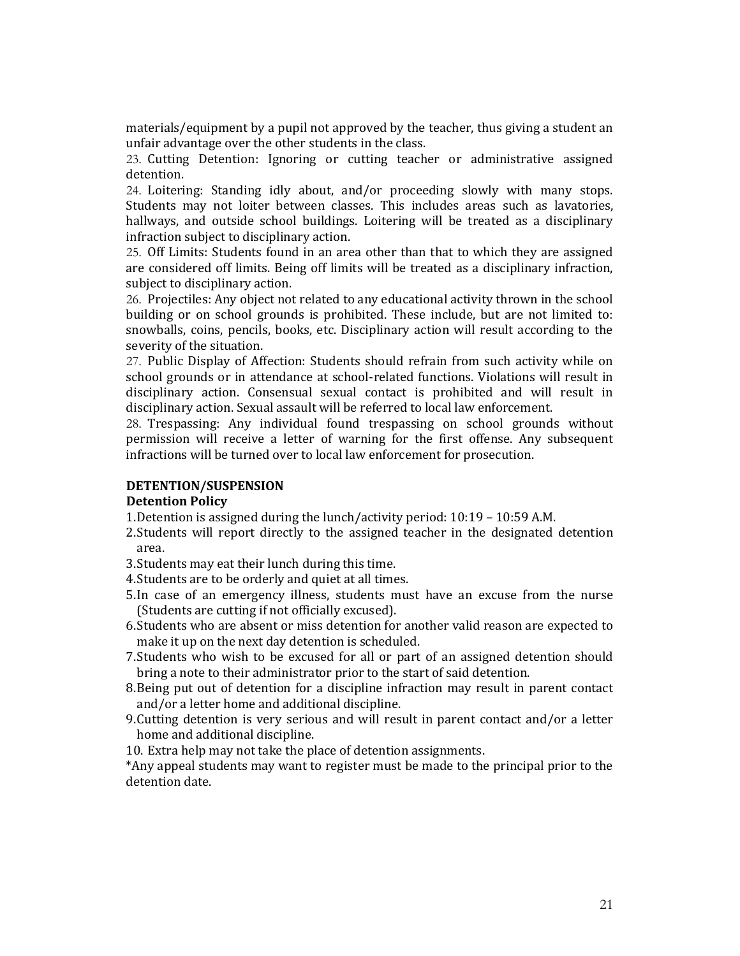materials/equipment by a pupil not approved by the teacher, thus giving a student an unfair advantage over the other students in the class.

23. Cutting Detention: Ignoring or cutting teacher or administrative assigned detention.

24. Loitering: Standing idly about, and/or proceeding slowly with many stops. Students may not loiter between classes. This includes areas such as lavatories, hallways, and outside school buildings. Loitering will be treated as a disciplinary infraction subject to disciplinary action.

25. Off Limits: Students found in an area other than that to which they are assigned are considered off limits. Being off limits will be treated as a disciplinary infraction, subject to disciplinary action.

26. Projectiles: Any object not related to any educational activity thrown in the school building or on school grounds is prohibited. These include, but are not limited to: snowballs, coins, pencils, books, etc. Disciplinary action will result according to the severity of the situation.

27. Public Display of Affection: Students should refrain from such activity while on school grounds or in attendance at school-related functions. Violations will result in disciplinary action. Consensual sexual contact is prohibited and will result in disciplinary action. Sexual assault will be referred to local law enforcement.

28. Trespassing: Any individual found trespassing on school grounds without permission will receive a letter of warning for the first offense. Any subsequent infractions will be turned over to local law enforcement for prosecution.

# **DETENTION/SUSPENSION**

#### **Detention Policy**

1.Detention is assigned during the lunch/activity period: 10:19 – 10:59 A.M.

- 2.Students will report directly to the assigned teacher in the designated detention area.
- 3.Students may eat their lunch during this time.
- 4.Students are to be orderly and quiet at all times.
- 5.In case of an emergency illness, students must have an excuse from the nurse (Students are cutting if not officially excused).
- 6.Students who are absent or miss detention for another valid reason are expected to make it up on the next day detention is scheduled.
- 7.Students who wish to be excused for all or part of an assigned detention should bring a note to their administrator prior to the start of said detention.
- 8.Being put out of detention for a discipline infraction may result in parent contact and/or a letter home and additional discipline.
- 9.Cutting detention is very serious and will result in parent contact and/or a letter home and additional discipline.

10. Extra help may not take the place of detention assignments.

\*Any appeal students may want to register must be made to the principal prior to the detention date.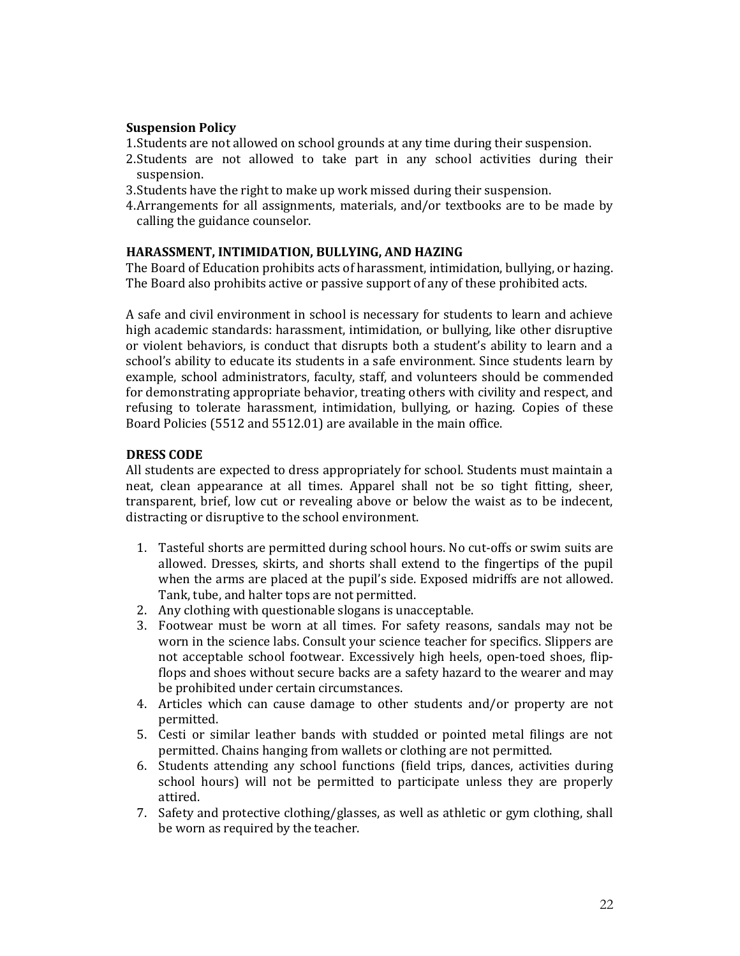# **Suspension Policy**

- 1.Students are not allowed on school grounds at any time during their suspension.
- 2.Students are not allowed to take part in any school activities during their suspension.
- 3.Students have the right to make up work missed during their suspension.
- 4.Arrangements for all assignments, materials, and/or textbooks are to be made by calling the guidance counselor.

# **HARASSMENT, INTIMIDATION, BULLYING, AND HAZING**

The Board of Education prohibits acts of harassment, intimidation, bullying, or hazing. The Board also prohibits active or passive support of any of these prohibited acts.

A safe and civil environment in school is necessary for students to learn and achieve high academic standards: harassment, intimidation, or bullying, like other disruptive or violent behaviors, is conduct that disrupts both a student's ability to learn and a school's ability to educate its students in a safe environment. Since students learn by example, school administrators, faculty, staff, and volunteers should be commended for demonstrating appropriate behavior, treating others with civility and respect, and refusing to tolerate harassment, intimidation, bullying, or hazing. Copies of these Board Policies (5512 and 5512.01) are available in the main office.

# **DRESS CODE**

All students are expected to dress appropriately for school. Students must maintain a neat, clean appearance at all times. Apparel shall not be so tight fitting, sheer, transparent, brief, low cut or revealing above or below the waist as to be indecent, distracting or disruptive to the school environment.

- 1. Tasteful shorts are permitted during school hours. No cut-offs or swim suits are allowed. Dresses, skirts, and shorts shall extend to the fingertips of the pupil when the arms are placed at the pupil's side. Exposed midriffs are not allowed. Tank, tube, and halter tops are not permitted.
- 2. Any clothing with questionable slogans is unacceptable.
- 3. Footwear must be worn at all times. For safety reasons, sandals may not be worn in the science labs. Consult your science teacher for specifics. Slippers are not acceptable school footwear. Excessively high heels, open-toed shoes, flipflops and shoes without secure backs are a safety hazard to the wearer and may be prohibited under certain circumstances.
- 4. Articles which can cause damage to other students and/or property are not permitted.
- 5. Cesti or similar leather bands with studded or pointed metal filings are not permitted. Chains hanging from wallets or clothing are not permitted.
- 6. Students attending any school functions (field trips, dances, activities during school hours) will not be permitted to participate unless they are properly attired.
- 7. Safety and protective clothing/glasses, as well as athletic or gym clothing, shall be worn as required by the teacher.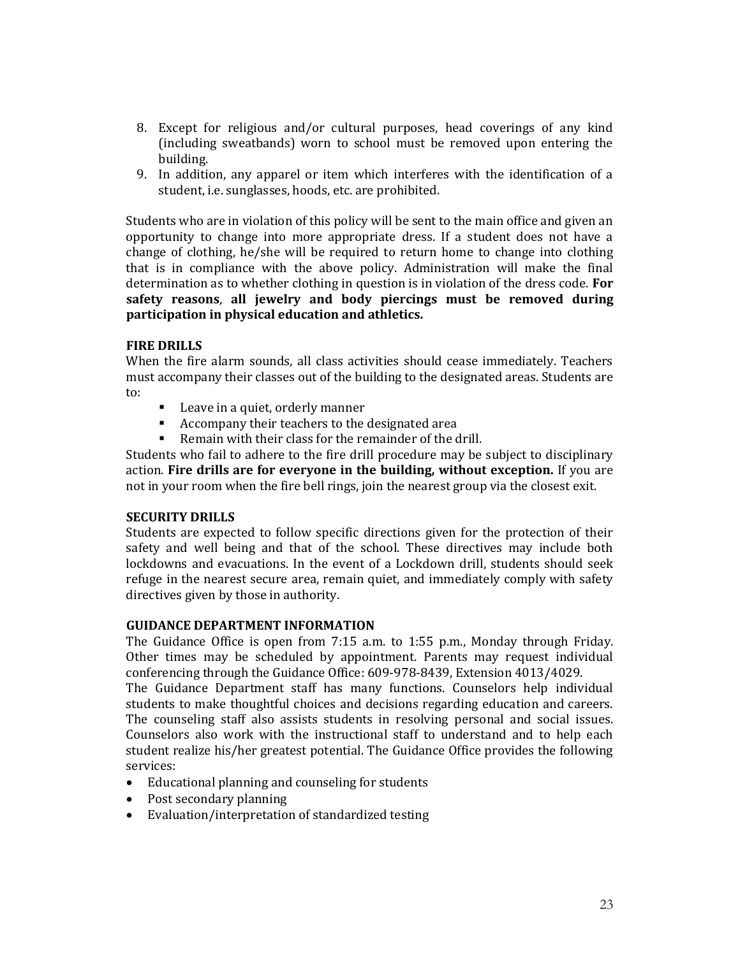- 8. Except for religious and/or cultural purposes, head coverings of any kind (including sweatbands) worn to school must be removed upon entering the building.
- 9. In addition, any apparel or item which interferes with the identification of a student, i.e. sunglasses, hoods, etc. are prohibited.

Students who are in violation of this policy will be sent to the main office and given an opportunity to change into more appropriate dress. If a student does not have a change of clothing, he/she will be required to return home to change into clothing that is in compliance with the above policy. Administration will make the final determination as to whether clothing in question is in violation of the dress code. **For safety reasons**, **all jewelry and body piercings must be removed during participation in physical education and athletics.**

# **FIRE DRILLS**

When the fire alarm sounds, all class activities should cease immediately. Teachers must accompany their classes out of the building to the designated areas. Students are to:

- Leave in a quiet, orderly manner
- Accompany their teachers to the designated area
- Remain with their class for the remainder of the drill.

Students who fail to adhere to the fire drill procedure may be subject to disciplinary action. **Fire drills are for everyone in the building, without exception.** If you are not in your room when the fire bell rings, join the nearest group via the closest exit.

# **SECURITY DRILLS**

Students are expected to follow specific directions given for the protection of their safety and well being and that of the school. These directives may include both lockdowns and evacuations. In the event of a Lockdown drill, students should seek refuge in the nearest secure area, remain quiet, and immediately comply with safety directives given by those in authority.

# **GUIDANCE DEPARTMENT INFORMATION**

The Guidance Office is open from 7:15 a.m. to 1:55 p.m., Monday through Friday. Other times may be scheduled by appointment. Parents may request individual conferencing through the Guidance Office: 609-978-8439, Extension 4013/4029.

The Guidance Department staff has many functions. Counselors help individual students to make thoughtful choices and decisions regarding education and careers. The counseling staff also assists students in resolving personal and social issues. Counselors also work with the instructional staff to understand and to help each student realize his/her greatest potential. The Guidance Office provides the following services:

- Educational planning and counseling for students
- Post secondary planning
- Evaluation/interpretation of standardized testing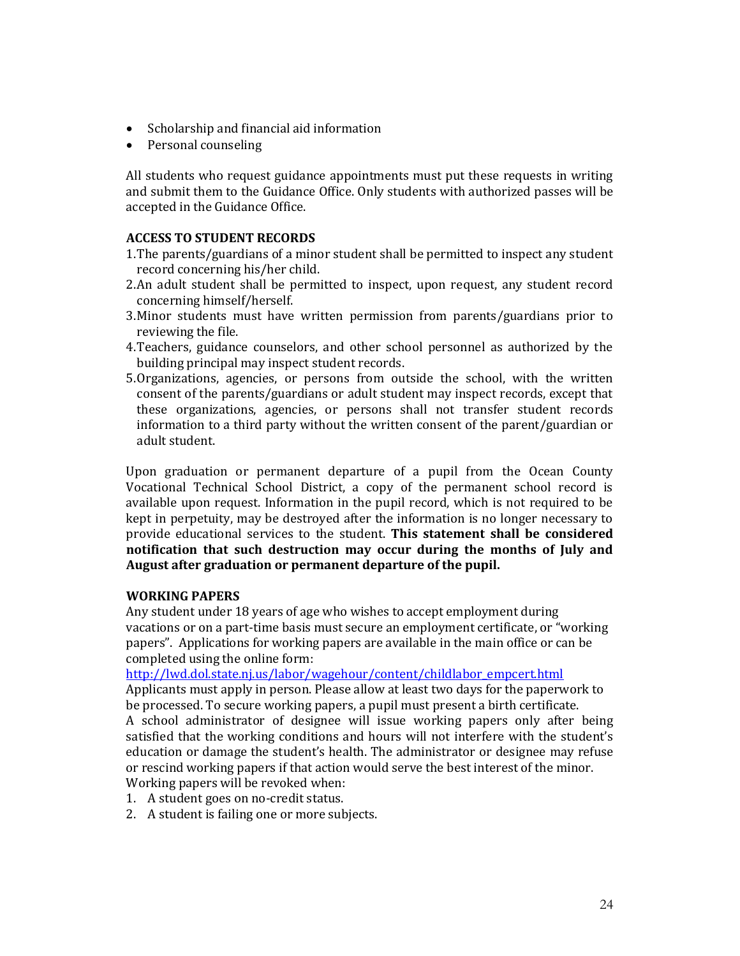- Scholarship and financial aid information
- Personal counseling

All students who request guidance appointments must put these requests in writing and submit them to the Guidance Office. Only students with authorized passes will be accepted in the Guidance Office.

# **ACCESS TO STUDENT RECORDS**

- 1.The parents/guardians of a minor student shall be permitted to inspect any student record concerning his/her child.
- 2.An adult student shall be permitted to inspect, upon request, any student record concerning himself/herself.
- 3.Minor students must have written permission from parents/guardians prior to reviewing the file.
- 4.Teachers, guidance counselors, and other school personnel as authorized by the building principal may inspect student records.
- 5.Organizations, agencies, or persons from outside the school, with the written consent of the parents/guardians or adult student may inspect records, except that these organizations, agencies, or persons shall not transfer student records information to a third party without the written consent of the parent/guardian or adult student.

Upon graduation or permanent departure of a pupil from the Ocean County Vocational Technical School District, a copy of the permanent school record is available upon request. Information in the pupil record, which is not required to be kept in perpetuity, may be destroyed after the information is no longer necessary to provide educational services to the student. **This statement shall be considered notification that such destruction may occur during the months of July and August after graduation or permanent departure of the pupil.** 

# **WORKING PAPERS**

Any student under 18 years of age who wishes to accept employment during vacations or on a part-time basis must secure an employment certificate, or "working papers". Applications for working papers are available in the main office or can be completed using the online form:

[http://lwd.dol.state.nj.us/labor/wagehour/content/childlabor\\_empcert.html](http://lwd.dol.state.nj.us/labor/wagehour/content/childlabor_empcert.html)

Applicants must apply in person. Please allow at least two days for the paperwork to be processed. To secure working papers, a pupil must present a birth certificate. A school administrator of designee will issue working papers only after being satisfied that the working conditions and hours will not interfere with the student's education or damage the student's health. The administrator or designee may refuse or rescind working papers if that action would serve the best interest of the minor. Working papers will be revoked when:

- 1. A student goes on no-credit status.
- 2. A student is failing one or more subjects.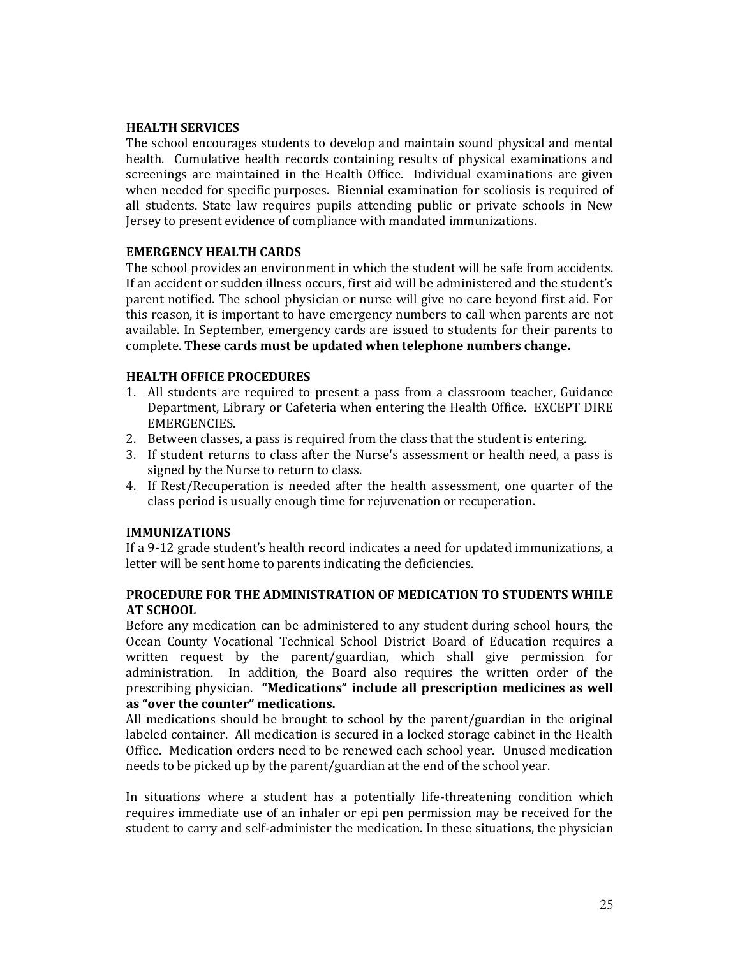# **HEALTH SERVICES**

The school encourages students to develop and maintain sound physical and mental health. Cumulative health records containing results of physical examinations and screenings are maintained in the Health Office. Individual examinations are given when needed for specific purposes. Biennial examination for scoliosis is required of all students. State law requires pupils attending public or private schools in New Jersey to present evidence of compliance with mandated immunizations.

# **EMERGENCY HEALTH CARDS**

The school provides an environment in which the student will be safe from accidents. If an accident or sudden illness occurs, first aid will be administered and the student's parent notified. The school physician or nurse will give no care beyond first aid. For this reason, it is important to have emergency numbers to call when parents are not available. In September, emergency cards are issued to students for their parents to complete. **These cards must be updated when telephone numbers change.**

# **HEALTH OFFICE PROCEDURES**

- 1. All students are required to present a pass from a classroom teacher, Guidance Department, Library or Cafeteria when entering the Health Office. EXCEPT DIRE EMERGENCIES.
- 2. Between classes, a pass is required from the class that the student is entering.
- 3. If student returns to class after the Nurse's assessment or health need, a pass is signed by the Nurse to return to class.
- 4. If Rest/Recuperation is needed after the health assessment, one quarter of the class period is usually enough time for rejuvenation or recuperation.

# **IMMUNIZATIONS**

If a 9-12 grade student's health record indicates a need for updated immunizations, a letter will be sent home to parents indicating the deficiencies.

# **PROCEDURE FOR THE ADMINISTRATION OF MEDICATION TO STUDENTS WHILE AT SCHOOL**

Before any medication can be administered to any student during school hours, the Ocean County Vocational Technical School District Board of Education requires a written request by the parent/guardian, which shall give permission for administration. In addition, the Board also requires the written order of the prescribing physician. **"Medications" include all prescription medicines as well as "over the counter" medications.**

All medications should be brought to school by the parent/guardian in the original labeled container. All medication is secured in a locked storage cabinet in the Health Office. Medication orders need to be renewed each school year. Unused medication needs to be picked up by the parent/guardian at the end of the school year.

In situations where a student has a potentially life-threatening condition which requires immediate use of an inhaler or epi pen permission may be received for the student to carry and self-administer the medication. In these situations, the physician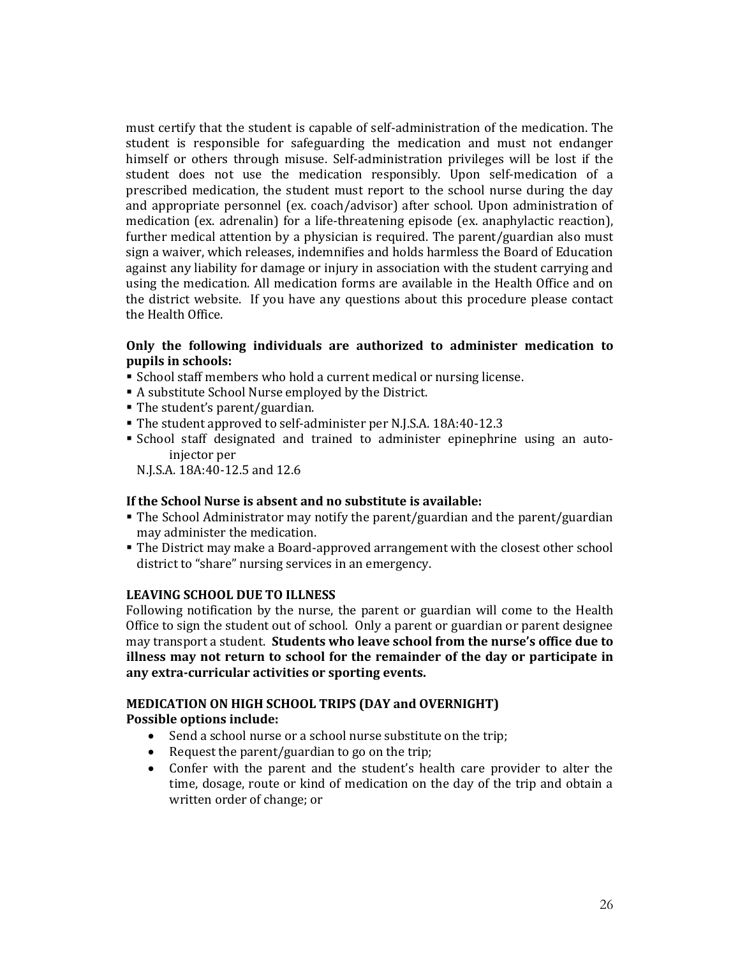must certify that the student is capable of self-administration of the medication. The student is responsible for safeguarding the medication and must not endanger himself or others through misuse. Self-administration privileges will be lost if the student does not use the medication responsibly. Upon self-medication of a prescribed medication, the student must report to the school nurse during the day and appropriate personnel (ex. coach/advisor) after school. Upon administration of medication (ex. adrenalin) for a life-threatening episode (ex. anaphylactic reaction), further medical attention by a physician is required. The parent/guardian also must sign a waiver, which releases, indemnifies and holds harmless the Board of Education against any liability for damage or injury in association with the student carrying and using the medication. All medication forms are available in the Health Office and on the district website. If you have any questions about this procedure please contact the Health Office.

# **Only the following individuals are authorized to administer medication to pupils in schools:**

- School staff members who hold a current medical or nursing license.
- A substitute School Nurse employed by the District.
- The student's parent/guardian.
- The student approved to self-administer per N.J.S.A. 18A:40-12.3
- School staff designated and trained to administer epinephrine using an autoinjector per

N.J.S.A. 18A:40-12.5 and 12.6

# **If the School Nurse is absent and no substitute is available:**

- The School Administrator may notify the parent/guardian and the parent/guardian may administer the medication.
- The District may make a Board-approved arrangement with the closest other school district to "share" nursing services in an emergency.

# **LEAVING SCHOOL DUE TO ILLNESS**

Following notification by the nurse, the parent or guardian will come to the Health Office to sign the student out of school. Only a parent or guardian or parent designee may transport a student. **Students who leave school from the nurse's office due to illness may not return to school for the remainder of the day or participate in any extra-curricular activities or sporting events.**

# **MEDICATION ON HIGH SCHOOL TRIPS (DAY and OVERNIGHT) Possible options include:**

- Send a school nurse or a school nurse substitute on the trip;
- Request the parent/guardian to go on the trip;
- Confer with the parent and the student's health care provider to alter the time, dosage, route or kind of medication on the day of the trip and obtain a written order of change; or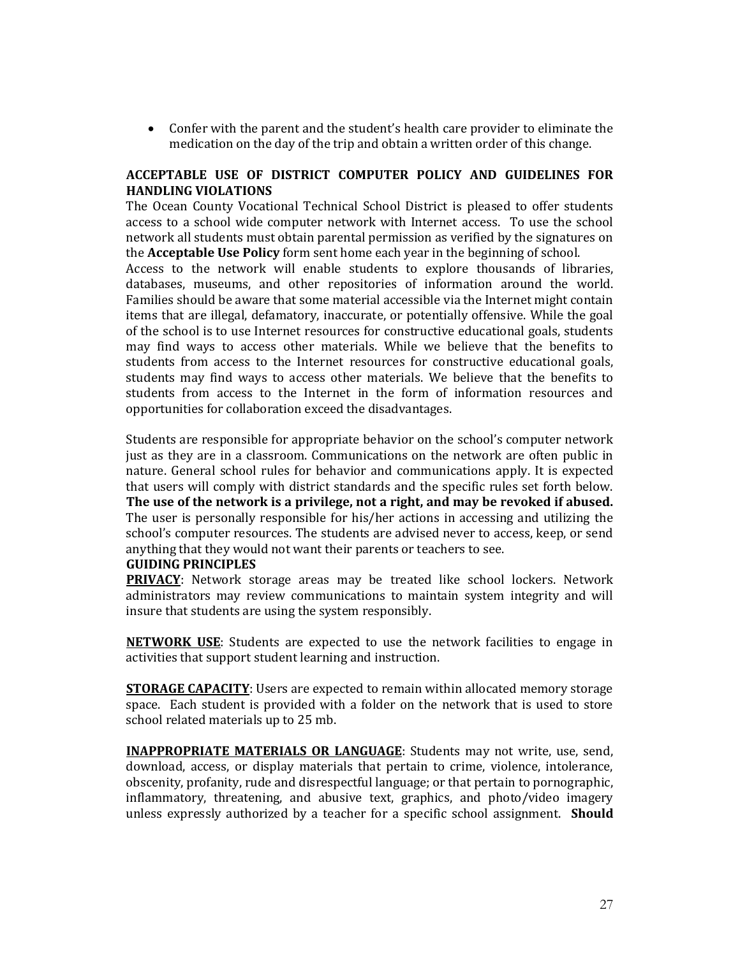• Confer with the parent and the student's health care provider to eliminate the medication on the day of the trip and obtain a written order of this change.

# **ACCEPTABLE USE OF DISTRICT COMPUTER POLICY AND GUIDELINES FOR HANDLING VIOLATIONS**

The Ocean County Vocational Technical School District is pleased to offer students access to a school wide computer network with Internet access. To use the school network all students must obtain parental permission as verified by the signatures on the **Acceptable Use Policy** form sent home each year in the beginning of school.

Access to the network will enable students to explore thousands of libraries, databases, museums, and other repositories of information around the world. Families should be aware that some material accessible via the Internet might contain items that are illegal, defamatory, inaccurate, or potentially offensive. While the goal of the school is to use Internet resources for constructive educational goals, students may find ways to access other materials. While we believe that the benefits to students from access to the Internet resources for constructive educational goals, students may find ways to access other materials. We believe that the benefits to students from access to the Internet in the form of information resources and opportunities for collaboration exceed the disadvantages.

Students are responsible for appropriate behavior on the school's computer network just as they are in a classroom. Communications on the network are often public in nature. General school rules for behavior and communications apply. It is expected that users will comply with district standards and the specific rules set forth below. **The use of the network is a privilege, not a right, and may be revoked if abused.** The user is personally responsible for his/her actions in accessing and utilizing the school's computer resources. The students are advised never to access, keep, or send anything that they would not want their parents or teachers to see.

# **GUIDING PRINCIPLES**

**PRIVACY**: Network storage areas may be treated like school lockers. Network administrators may review communications to maintain system integrity and will insure that students are using the system responsibly.

**NETWORK USE**: Students are expected to use the network facilities to engage in activities that support student learning and instruction.

**STORAGE CAPACITY**: Users are expected to remain within allocated memory storage space. Each student is provided with a folder on the network that is used to store school related materials up to 25 mb.

**INAPPROPRIATE MATERIALS OR LANGUAGE**: Students may not write, use, send, download, access, or display materials that pertain to crime, violence, intolerance, obscenity, profanity, rude and disrespectful language; or that pertain to pornographic, inflammatory, threatening, and abusive text, graphics, and photo/video imagery unless expressly authorized by a teacher for a specific school assignment. **Should**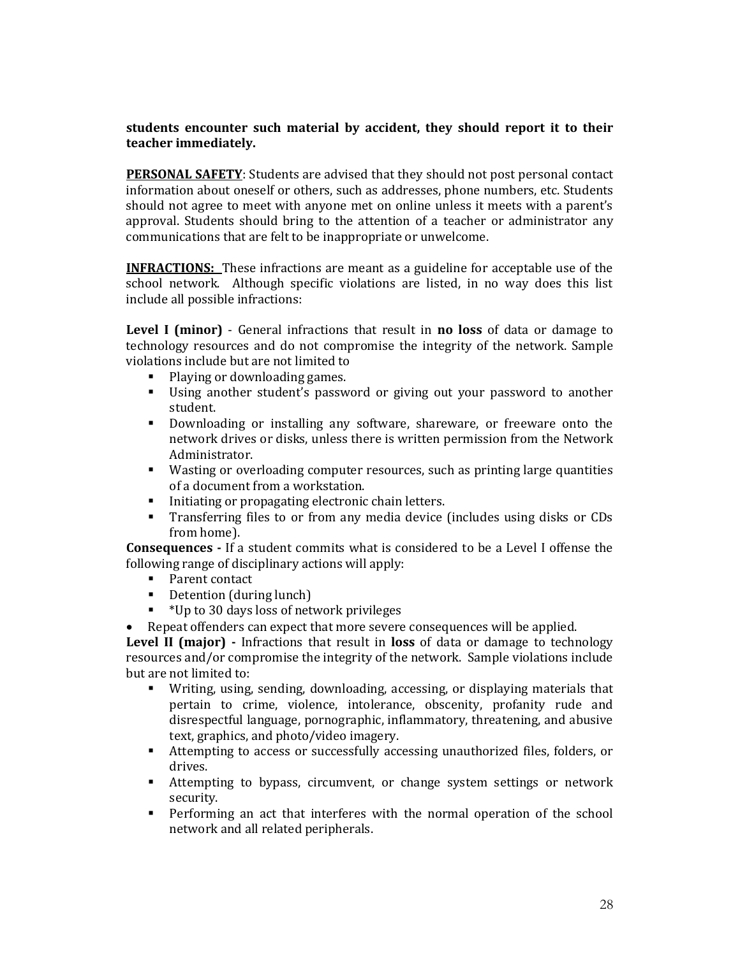# **students encounter such material by accident, they should report it to their teacher immediately.**

**PERSONAL SAFETY**: Students are advised that they should not post personal contact information about oneself or others, such as addresses, phone numbers, etc. Students should not agree to meet with anyone met on online unless it meets with a parent's approval. Students should bring to the attention of a teacher or administrator any communications that are felt to be inappropriate or unwelcome.

**INFRACTIONS:** These infractions are meant as a guideline for acceptable use of the school network. Although specific violations are listed, in no way does this list include all possible infractions:

**Level I (minor)** - General infractions that result in **no loss** of data or damage to technology resources and do not compromise the integrity of the network. Sample violations include but are not limited to

- Playing or downloading games.
- Using another student's password or giving out your password to another student.
- Downloading or installing any software, shareware, or freeware onto the network drives or disks, unless there is written permission from the Network Administrator.
- Wasting or overloading computer resources, such as printing large quantities of a document from a workstation.
- Initiating or propagating electronic chain letters.
- Transferring files to or from any media device (includes using disks or CDs from home).

**Consequences -** If a student commits what is considered to be a Level I offense the following range of disciplinary actions will apply:

- Parent contact
- Detention (during lunch)
- \*Up to 30 days loss of network privileges
- Repeat offenders can expect that more severe consequences will be applied.

**Level II (major) -** Infractions that result in **loss** of data or damage to technology resources and/or compromise the integrity of the network. Sample violations include but are not limited to:

- Writing, using, sending, downloading, accessing, or displaying materials that pertain to crime, violence, intolerance, obscenity, profanity rude and disrespectful language, pornographic, inflammatory, threatening, and abusive text, graphics, and photo/video imagery.
- Attempting to access or successfully accessing unauthorized files, folders, or drives.
- Attempting to bypass, circumvent, or change system settings or network security.
- Performing an act that interferes with the normal operation of the school network and all related peripherals.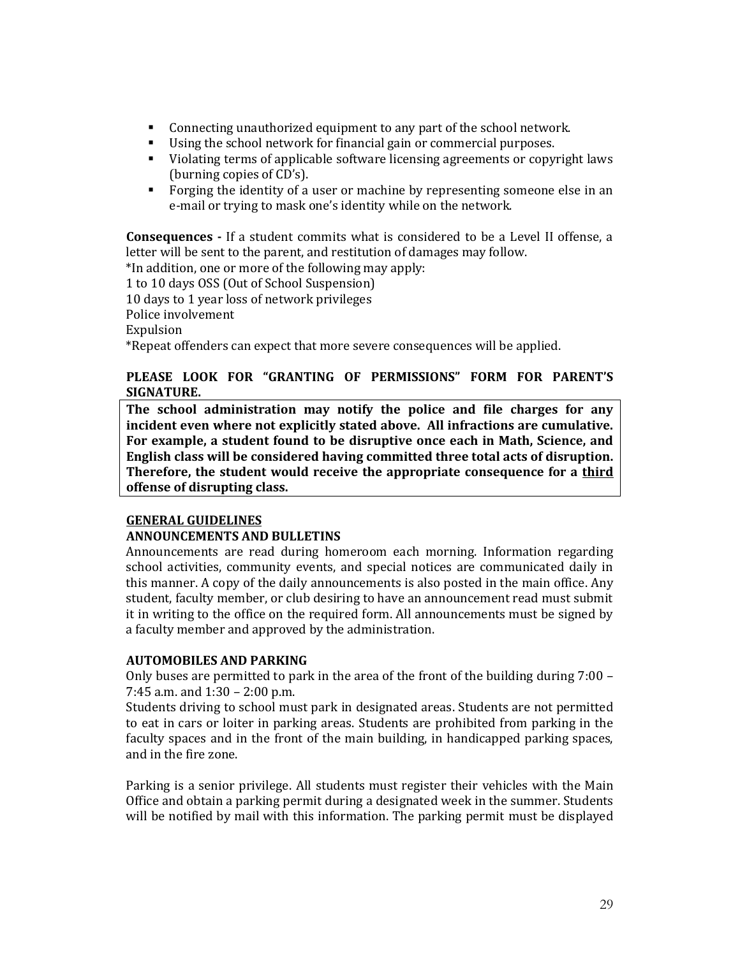- Connecting unauthorized equipment to any part of the school network.
- Using the school network for financial gain or commercial purposes.
- Violating terms of applicable software licensing agreements or copyright laws (burning copies of CD's).
- **•** Forging the identity of a user or machine by representing someone else in an e-mail or trying to mask one's identity while on the network.

**Consequences -** If a student commits what is considered to be a Level II offense, a letter will be sent to the parent, and restitution of damages may follow.

\*In addition, one or more of the following may apply:

1 to 10 days OSS (Out of School Suspension)

10 days to 1 year loss of network privileges

Police involvement

Expulsion

\*Repeat offenders can expect that more severe consequences will be applied.

# **PLEASE LOOK FOR "GRANTING OF PERMISSIONS" FORM FOR PARENT'S SIGNATURE.**

**The school administration may notify the police and file charges for any incident even where not explicitly stated above. All infractions are cumulative. For example, a student found to be disruptive once each in Math, Science, and English class will be considered having committed three total acts of disruption. Therefore, the student would receive the appropriate consequence for a third offense of disrupting class.**

# **GENERAL GUIDELINES**

# **ANNOUNCEMENTS AND BULLETINS**

Announcements are read during homeroom each morning. Information regarding school activities, community events, and special notices are communicated daily in this manner. A copy of the daily announcements is also posted in the main office. Any student, faculty member, or club desiring to have an announcement read must submit it in writing to the office on the required form. All announcements must be signed by a faculty member and approved by the administration.

# **AUTOMOBILES AND PARKING**

Only buses are permitted to park in the area of the front of the building during 7:00 – 7:45 a.m. and 1:30 – 2:00 p.m.

Students driving to school must park in designated areas. Students are not permitted to eat in cars or loiter in parking areas. Students are prohibited from parking in the faculty spaces and in the front of the main building, in handicapped parking spaces, and in the fire zone.

Parking is a senior privilege. All students must register their vehicles with the Main Office and obtain a parking permit during a designated week in the summer. Students will be notified by mail with this information. The parking permit must be displayed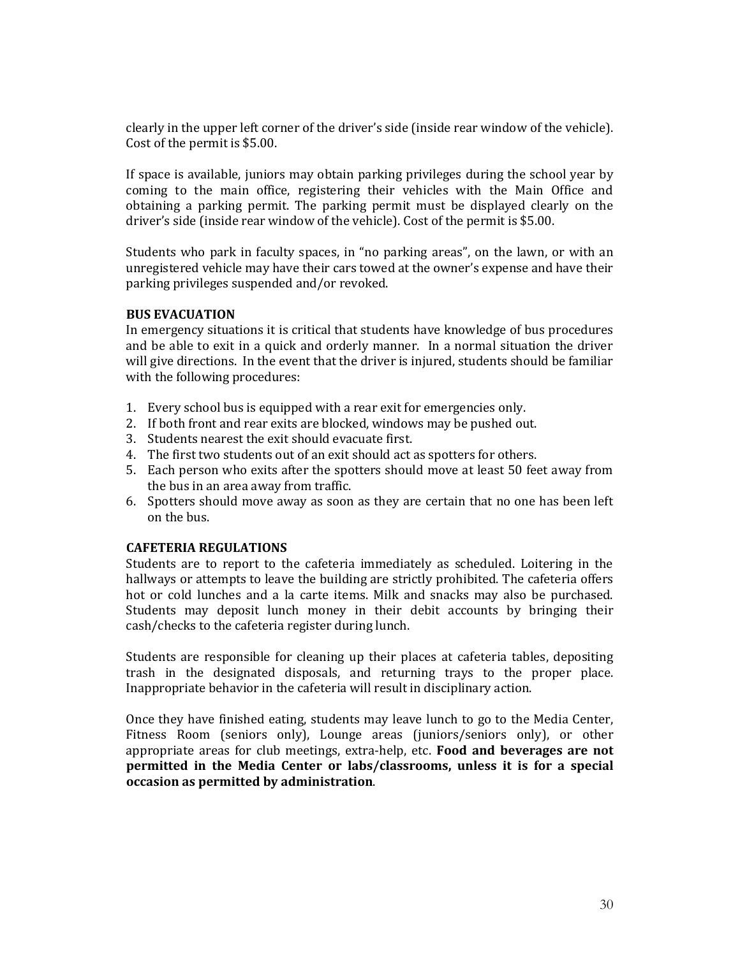clearly in the upper left corner of the driver's side (inside rear window of the vehicle). Cost of the permit is \$5.00.

If space is available, juniors may obtain parking privileges during the school year by coming to the main office, registering their vehicles with the Main Office and obtaining a parking permit. The parking permit must be displayed clearly on the driver's side (inside rear window of the vehicle). Cost of the permit is \$5.00.

Students who park in faculty spaces, in "no parking areas", on the lawn, or with an unregistered vehicle may have their cars towed at the owner's expense and have their parking privileges suspended and/or revoked.

## **BUS EVACUATION**

In emergency situations it is critical that students have knowledge of bus procedures and be able to exit in a quick and orderly manner. In a normal situation the driver will give directions. In the event that the driver is injured, students should be familiar with the following procedures:

- 1. Every school bus is equipped with a rear exit for emergencies only.
- 2. If both front and rear exits are blocked, windows may be pushed out.
- 3. Students nearest the exit should evacuate first.
- 4. The first two students out of an exit should act as spotters for others.
- 5. Each person who exits after the spotters should move at least 50 feet away from the bus in an area away from traffic.
- 6. Spotters should move away as soon as they are certain that no one has been left on the bus.

# **CAFETERIA REGULATIONS**

Students are to report to the cafeteria immediately as scheduled. Loitering in the hallways or attempts to leave the building are strictly prohibited. The cafeteria offers hot or cold lunches and a la carte items. Milk and snacks may also be purchased. Students may deposit lunch money in their debit accounts by bringing their cash/checks to the cafeteria register during lunch.

Students are responsible for cleaning up their places at cafeteria tables, depositing trash in the designated disposals, and returning trays to the proper place. Inappropriate behavior in the cafeteria will result in disciplinary action.

Once they have finished eating, students may leave lunch to go to the Media Center, Fitness Room (seniors only), Lounge areas (juniors/seniors only), or other appropriate areas for club meetings, extra-help, etc. **Food and beverages are not permitted in the Media Center or labs/classrooms, unless it is for a special occasion as permitted by administration**.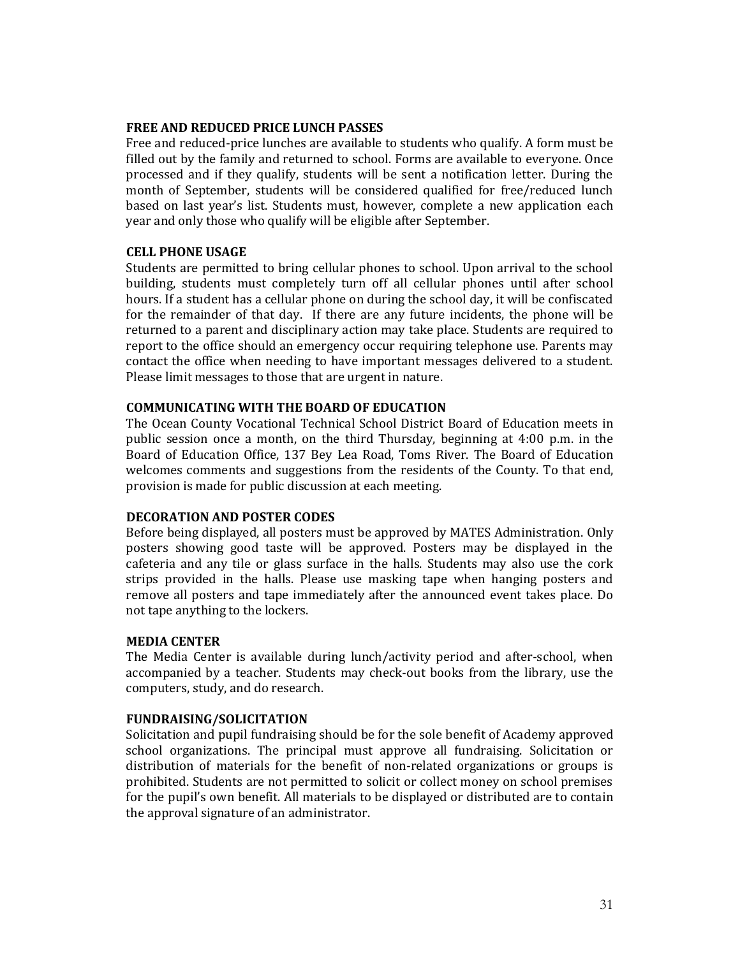#### **FREE AND REDUCED PRICE LUNCH PASSES**

Free and reduced-price lunches are available to students who qualify. A form must be filled out by the family and returned to school. Forms are available to everyone. Once processed and if they qualify, students will be sent a notification letter. During the month of September, students will be considered qualified for free/reduced lunch based on last year's list. Students must, however, complete a new application each year and only those who qualify will be eligible after September.

# **CELL PHONE USAGE**

Students are permitted to bring cellular phones to school. Upon arrival to the school building, students must completely turn off all cellular phones until after school hours. If a student has a cellular phone on during the school day, it will be confiscated for the remainder of that day. If there are any future incidents, the phone will be returned to a parent and disciplinary action may take place. Students are required to report to the office should an emergency occur requiring telephone use. Parents may contact the office when needing to have important messages delivered to a student. Please limit messages to those that are urgent in nature.

# **COMMUNICATING WITH THE BOARD OF EDUCATION**

The Ocean County Vocational Technical School District Board of Education meets in public session once a month, on the third Thursday, beginning at 4:00 p.m. in the Board of Education Office, 137 Bey Lea Road, Toms River. The Board of Education welcomes comments and suggestions from the residents of the County. To that end, provision is made for public discussion at each meeting.

# **DECORATION AND POSTER CODES**

Before being displayed, all posters must be approved by MATES Administration. Only posters showing good taste will be approved. Posters may be displayed in the cafeteria and any tile or glass surface in the halls. Students may also use the cork strips provided in the halls. Please use masking tape when hanging posters and remove all posters and tape immediately after the announced event takes place. Do not tape anything to the lockers.

# **MEDIA CENTER**

The Media Center is available during lunch/activity period and after-school, when accompanied by a teacher. Students may check-out books from the library, use the computers, study, and do research.

# **FUNDRAISING/SOLICITATION**

Solicitation and pupil fundraising should be for the sole benefit of Academy approved school organizations. The principal must approve all fundraising. Solicitation or distribution of materials for the benefit of non-related organizations or groups is prohibited. Students are not permitted to solicit or collect money on school premises for the pupil's own benefit. All materials to be displayed or distributed are to contain the approval signature of an administrator.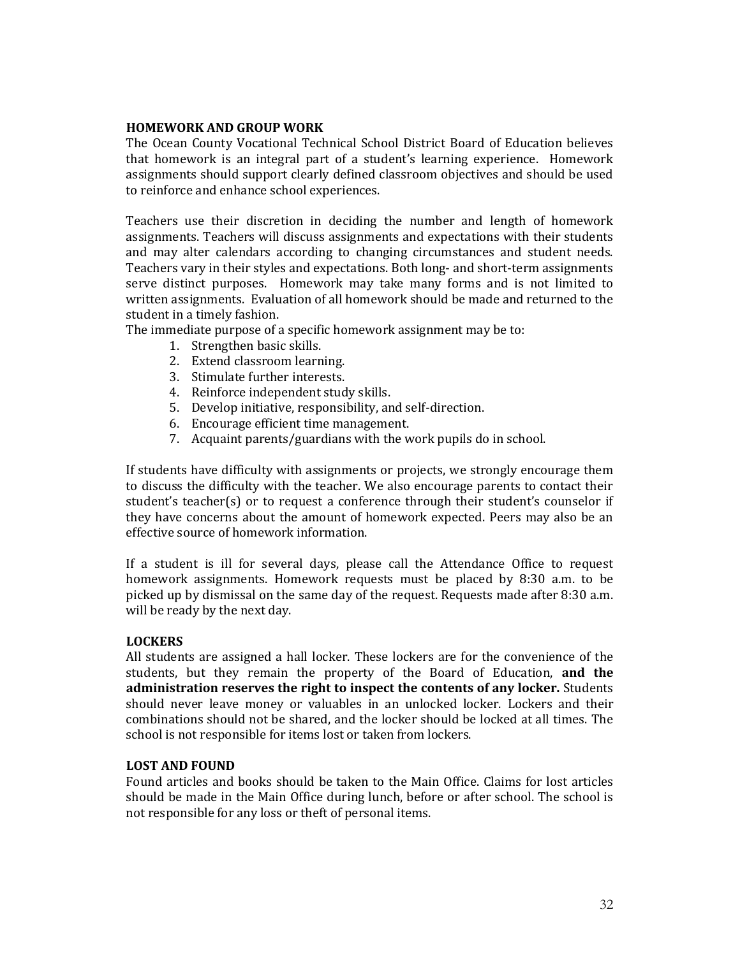## **HOMEWORK AND GROUP WORK**

The Ocean County Vocational Technical School District Board of Education believes that homework is an integral part of a student's learning experience. Homework assignments should support clearly defined classroom objectives and should be used to reinforce and enhance school experiences.

Teachers use their discretion in deciding the number and length of homework assignments. Teachers will discuss assignments and expectations with their students and may alter calendars according to changing circumstances and student needs. Teachers vary in their styles and expectations. Both long- and short-term assignments serve distinct purposes. Homework may take many forms and is not limited to written assignments. Evaluation of all homework should be made and returned to the student in a timely fashion.

The immediate purpose of a specific homework assignment may be to:

- 1. Strengthen basic skills.
- 2. Extend classroom learning.
- 3. Stimulate further interests.
- 4. Reinforce independent study skills.
- 5. Develop initiative, responsibility, and self-direction.
- 6. Encourage efficient time management.
- 7. Acquaint parents/guardians with the work pupils do in school.

If students have difficulty with assignments or projects, we strongly encourage them to discuss the difficulty with the teacher. We also encourage parents to contact their student's teacher(s) or to request a conference through their student's counselor if they have concerns about the amount of homework expected. Peers may also be an effective source of homework information.

If a student is ill for several days, please call the Attendance Office to request homework assignments. Homework requests must be placed by 8:30 a.m. to be picked up by dismissal on the same day of the request. Requests made after 8:30 a.m. will be ready by the next day.

# **LOCKERS**

All students are assigned a hall locker. These lockers are for the convenience of the students, but they remain the property of the Board of Education, **and the administration reserves the right to inspect the contents of any locker.** Students should never leave money or valuables in an unlocked locker. Lockers and their combinations should not be shared, and the locker should be locked at all times. The school is not responsible for items lost or taken from lockers.

## **LOST AND FOUND**

Found articles and books should be taken to the Main Office. Claims for lost articles should be made in the Main Office during lunch, before or after school. The school is not responsible for any loss or theft of personal items.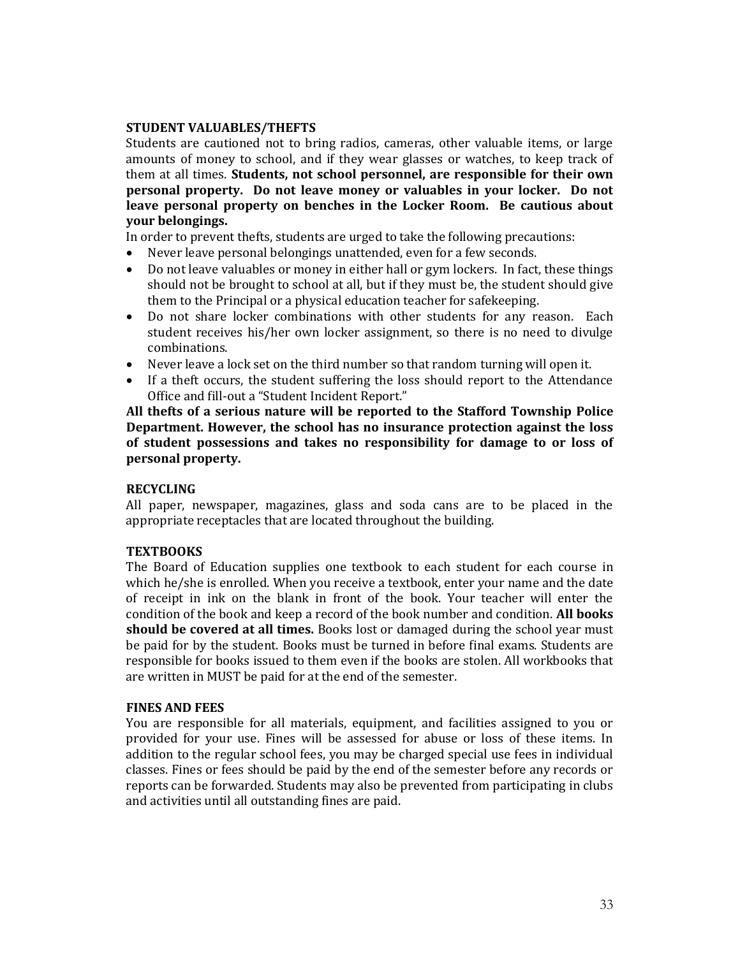# **STUDENT VALUABLES/THEFTS**

Students are cautioned not to bring radios, cameras, other valuable items, or large amounts of money to school, and if they wear glasses or watches, to keep track of them at all times. **Students, not school personnel, are responsible for their own personal property. Do not leave money or valuables in your locker. Do not leave personal property on benches in the Locker Room. Be cautious about your belongings.**

In order to prevent thefts, students are urged to take the following precautions:

- Never leave personal belongings unattended, even for a few seconds.
- Do not leave valuables or money in either hall or gym lockers. In fact, these things should not be brought to school at all, but if they must be, the student should give them to the Principal or a physical education teacher for safekeeping.
- Do not share locker combinations with other students for any reason. Each student receives his/her own locker assignment, so there is no need to divulge combinations.
- Never leave a lock set on the third number so that random turning will open it.
- If a theft occurs, the student suffering the loss should report to the Attendance Office and fill-out a "Student Incident Report."

**All thefts of a serious nature will be reported to the Stafford Township Police Department. However, the school has no insurance protection against the loss of student possessions and takes no responsibility for damage to or loss of personal property.**

# **RECYCLING**

All paper, newspaper, magazines, glass and soda cans are to be placed in the appropriate receptacles that are located throughout the building.

# **TEXTBOOKS**

The Board of Education supplies one textbook to each student for each course in which he/she is enrolled. When you receive a textbook, enter your name and the date of receipt in ink on the blank in front of the book. Your teacher will enter the condition of the book and keep a record of the book number and condition. **All books should be covered at all times.** Books lost or damaged during the school year must be paid for by the student. Books must be turned in before final exams. Students are responsible for books issued to them even if the books are stolen. All workbooks that are written in MUST be paid for at the end of the semester.

# **FINES AND FEES**

You are responsible for all materials, equipment, and facilities assigned to you or provided for your use. Fines will be assessed for abuse or loss of these items. In addition to the regular school fees, you may be charged special use fees in individual classes. Fines or fees should be paid by the end of the semester before any records or reports can be forwarded. Students may also be prevented from participating in clubs and activities until all outstanding fines are paid.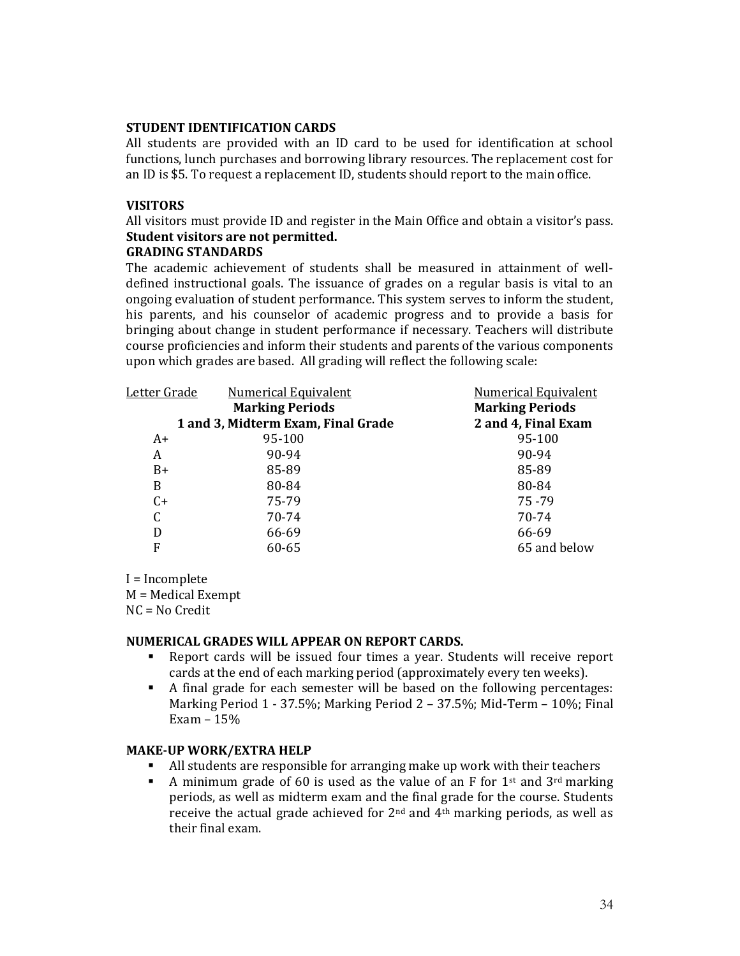## **STUDENT IDENTIFICATION CARDS**

All students are provided with an ID card to be used for identification at school functions, lunch purchases and borrowing library resources. The replacement cost for an ID is \$5. To request a replacement ID, students should report to the main office.

# **VISITORS**

All visitors must provide ID and register in the Main Office and obtain a visitor's pass. **Student visitors are not permitted.**

# **GRADING STANDARDS**

The academic achievement of students shall be measured in attainment of welldefined instructional goals. The issuance of grades on a regular basis is vital to an ongoing evaluation of student performance. This system serves to inform the student, his parents, and his counselor of academic progress and to provide a basis for bringing about change in student performance if necessary. Teachers will distribute course proficiencies and inform their students and parents of the various components upon which grades are based. All grading will reflect the following scale:

| Letter Grade                       | <b>Numerical Equivalent</b> | <b>Numerical Equivalent</b> |
|------------------------------------|-----------------------------|-----------------------------|
|                                    | <b>Marking Periods</b>      | <b>Marking Periods</b>      |
| 1 and 3, Midterm Exam, Final Grade |                             | 2 and 4, Final Exam         |
| A+                                 | 95-100                      | 95-100                      |
| A                                  | 90-94                       | 90-94                       |
| $B+$                               | 85-89                       | 85-89                       |
| B                                  | 80-84                       | 80-84                       |
| $C+$                               | 75-79                       | $75 - 79$                   |
| C                                  | 70-74                       | 70-74                       |
| D                                  | 66-69                       | 66-69                       |
| F                                  | 60-65                       | 65 and below                |

I = Incomplete M = Medical Exempt NC = No Credit

# **NUMERICAL GRADES WILL APPEAR ON REPORT CARDS.**

- Report cards will be issued four times a year. Students will receive report cards at the end of each marking period (approximately every ten weeks).
- A final grade for each semester will be based on the following percentages: Marking Period 1 - 37.5%; Marking Period 2 – 37.5%; Mid-Term – 10%; Final Exam – 15%

# **MAKE-UP WORK/EXTRA HELP**

- All students are responsible for arranging make up work with their teachers
- **•** A minimum grade of 60 is used as the value of an F for  $1$ <sup>st</sup> and  $3^{rd}$  marking periods, as well as midterm exam and the final grade for the course. Students receive the actual grade achieved for 2nd and 4th marking periods, as well as their final exam.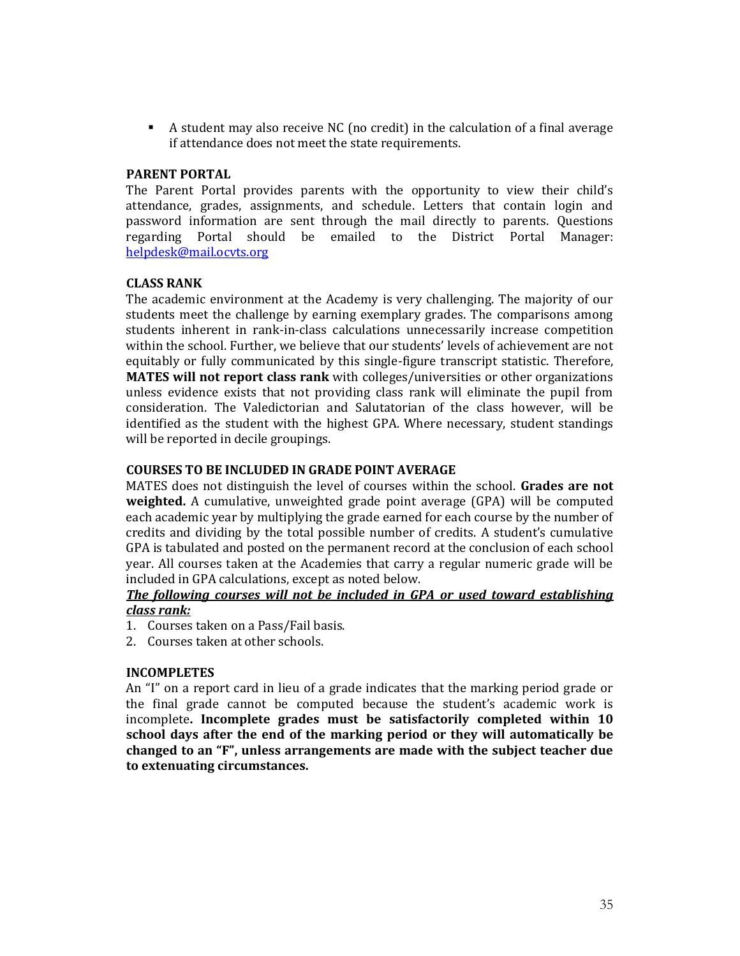▪ A student may also receive NC (no credit) in the calculation of a final average if attendance does not meet the state requirements.

## **PARENT PORTAL**

The Parent Portal provides parents with the opportunity to view their child's attendance, grades, assignments, and schedule. Letters that contain login and password information are sent through the mail directly to parents. Questions regarding Portal should be emailed to the District Portal Manager: [helpdesk@mail.ocvts.org](mailto:helpdesk@mail.ocvts.org)

# **CLASS RANK**

The academic environment at the Academy is very challenging. The majority of our students meet the challenge by earning exemplary grades. The comparisons among students inherent in rank-in-class calculations unnecessarily increase competition within the school. Further, we believe that our students' levels of achievement are not equitably or fully communicated by this single-figure transcript statistic. Therefore, **MATES will not report class rank** with colleges/universities or other organizations unless evidence exists that not providing class rank will eliminate the pupil from consideration. The Valedictorian and Salutatorian of the class however, will be identified as the student with the highest GPA. Where necessary, student standings will be reported in decile groupings.

# **COURSES TO BE INCLUDED IN GRADE POINT AVERAGE**

MATES does not distinguish the level of courses within the school. **Grades are not weighted.** A cumulative, unweighted grade point average (GPA) will be computed each academic year by multiplying the grade earned for each course by the number of credits and dividing by the total possible number of credits. A student's cumulative GPA is tabulated and posted on the permanent record at the conclusion of each school year. All courses taken at the Academies that carry a regular numeric grade will be included in GPA calculations, except as noted below.

# *The following courses will not be included in GPA or used toward establishing class rank:*

- 1. Courses taken on a Pass/Fail basis.
- 2. Courses taken at other schools.

#### **INCOMPLETES**

An "I" on a report card in lieu of a grade indicates that the marking period grade or the final grade cannot be computed because the student's academic work is incomplete**. Incomplete grades must be satisfactorily completed within 10 school days after the end of the marking period or they will automatically be changed to an "F", unless arrangements are made with the subject teacher due to extenuating circumstances.**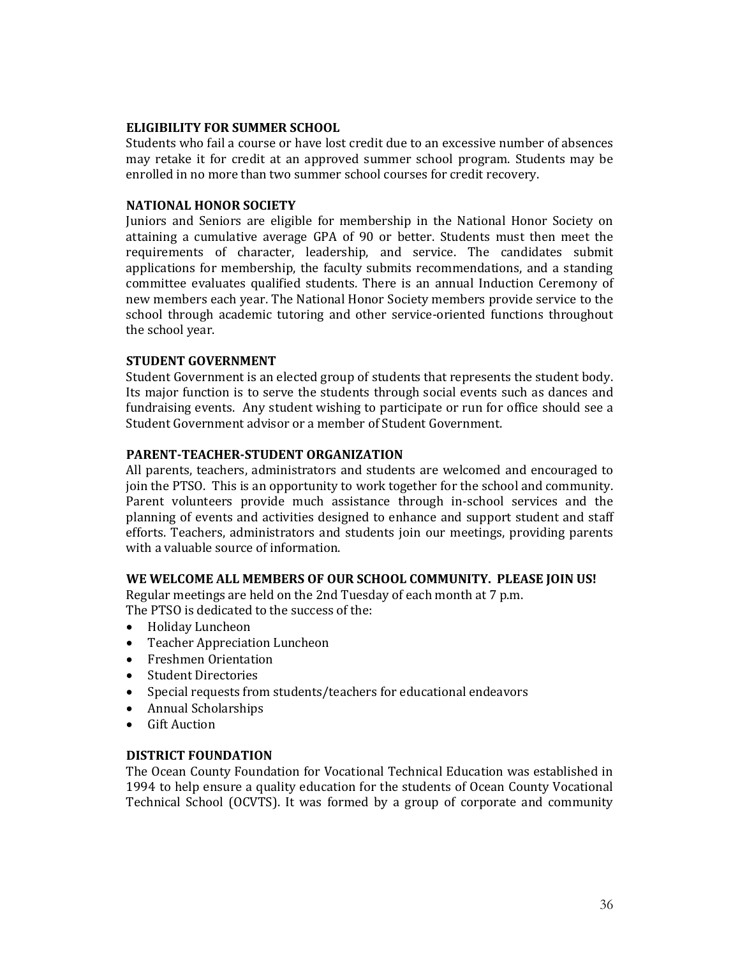# **ELIGIBILITY FOR SUMMER SCHOOL**

Students who fail a course or have lost credit due to an excessive number of absences may retake it for credit at an approved summer school program. Students may be enrolled in no more than two summer school courses for credit recovery.

## **NATIONAL HONOR SOCIETY**

Juniors and Seniors are eligible for membership in the National Honor Society on attaining a cumulative average GPA of 90 or better. Students must then meet the requirements of character, leadership, and service. The candidates submit applications for membership, the faculty submits recommendations, and a standing committee evaluates qualified students. There is an annual Induction Ceremony of new members each year. The National Honor Society members provide service to the school through academic tutoring and other service-oriented functions throughout the school year.

# **STUDENT GOVERNMENT**

Student Government is an elected group of students that represents the student body. Its major function is to serve the students through social events such as dances and fundraising events. Any student wishing to participate or run for office should see a Student Government advisor or a member of Student Government.

## **PARENT-TEACHER-STUDENT ORGANIZATION**

All parents, teachers, administrators and students are welcomed and encouraged to join the PTSO. This is an opportunity to work together for the school and community. Parent volunteers provide much assistance through in-school services and the planning of events and activities designed to enhance and support student and staff efforts. Teachers, administrators and students join our meetings, providing parents with a valuable source of information.

# **WE WELCOME ALL MEMBERS OF OUR SCHOOL COMMUNITY. PLEASE JOIN US!**

Regular meetings are held on the 2nd Tuesday of each month at 7 p.m. The PTSO is dedicated to the success of the:

- Holiday Luncheon
- Teacher Appreciation Luncheon
- Freshmen Orientation
- Student Directories
- Special requests from students/teachers for educational endeavors
- Annual Scholarships
- Gift Auction

#### **DISTRICT FOUNDATION**

The Ocean County Foundation for Vocational Technical Education was established in 1994 to help ensure a quality education for the students of Ocean County Vocational Technical School (OCVTS). It was formed by a group of corporate and community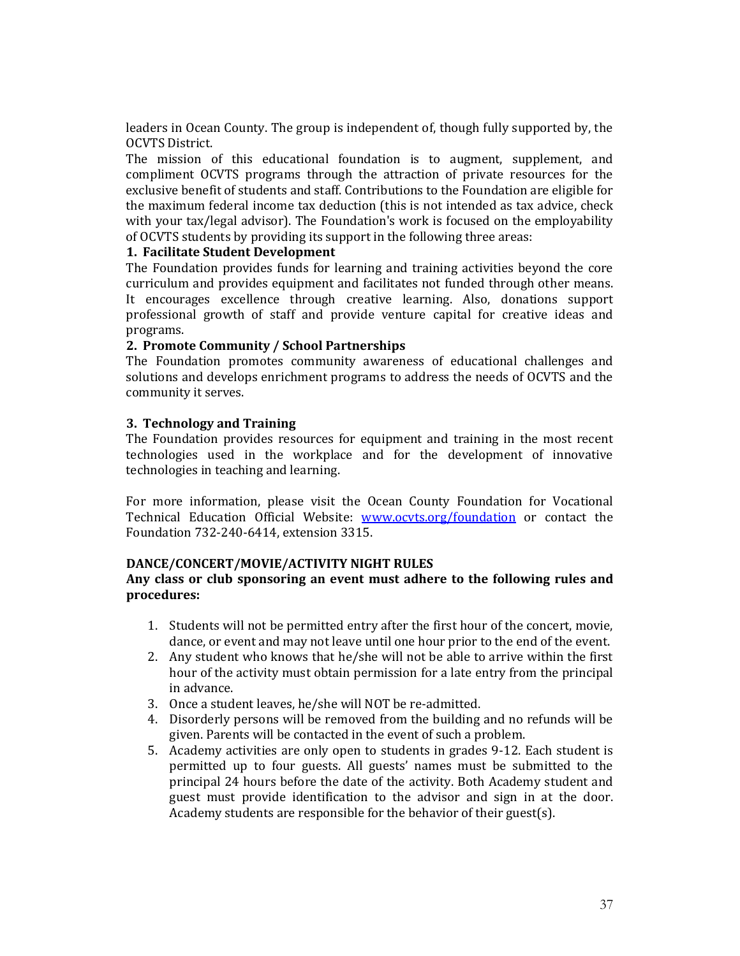leaders in Ocean County. The group is independent of, though fully supported by, the OCVTS District.

The mission of this educational foundation is to augment, supplement, and compliment OCVTS programs through the attraction of private resources for the exclusive benefit of students and staff. Contributions to the Foundation are eligible for the maximum federal income tax deduction (this is not intended as tax advice, check with your tax/legal advisor). The Foundation's work is focused on the employability of OCVTS students by providing its support in the following three areas:

# **1. Facilitate Student Development**

The Foundation provides funds for learning and training activities beyond the core curriculum and provides equipment and facilitates not funded through other means. It encourages excellence through creative learning. Also, donations support professional growth of staff and provide venture capital for creative ideas and programs.

## **2. Promote Community / School Partnerships**

The Foundation promotes community awareness of educational challenges and solutions and develops enrichment programs to address the needs of OCVTS and the community it serves.

## **3. Technology and Training**

The Foundation provides resources for equipment and training in the most recent technologies used in the workplace and for the development of innovative technologies in teaching and learning.

For more information, please visit the Ocean County Foundation for Vocational Technical Education Official Website: www.ocyts.org/foundation or contact the Foundation 732-240-6414, extension 3315.

# **DANCE/CONCERT/MOVIE/ACTIVITY NIGHT RULES**

# **Any class or club sponsoring an event must adhere to the following rules and procedures:**

- 1. Students will not be permitted entry after the first hour of the concert, movie, dance, or event and may not leave until one hour prior to the end of the event.
- 2. Any student who knows that he/she will not be able to arrive within the first hour of the activity must obtain permission for a late entry from the principal in advance.
- 3. Once a student leaves, he/she will NOT be re-admitted.
- 4. Disorderly persons will be removed from the building and no refunds will be given. Parents will be contacted in the event of such a problem.
- 5. Academy activities are only open to students in grades 9-12. Each student is permitted up to four guests. All guests' names must be submitted to the principal 24 hours before the date of the activity. Both Academy student and guest must provide identification to the advisor and sign in at the door. Academy students are responsible for the behavior of their guest(s).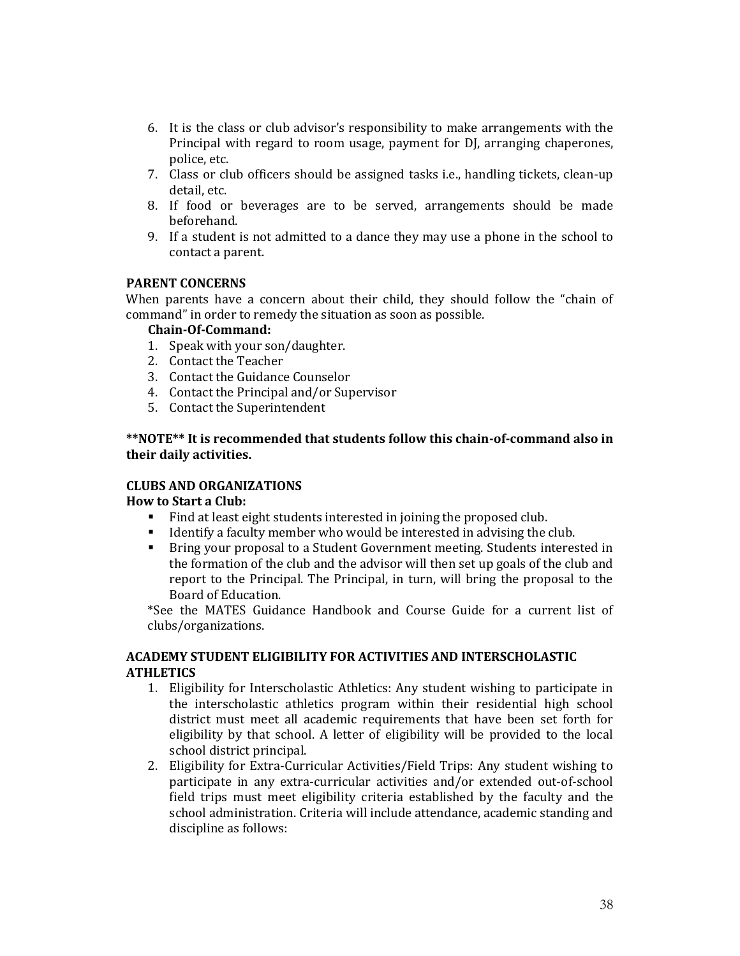- 6. It is the class or club advisor's responsibility to make arrangements with the Principal with regard to room usage, payment for DJ, arranging chaperones, police, etc.
- 7. Class or club officers should be assigned tasks i.e., handling tickets, clean-up detail, etc.
- 8. If food or beverages are to be served, arrangements should be made beforehand.
- 9. If a student is not admitted to a dance they may use a phone in the school to contact a parent.

# **PARENT CONCERNS**

When parents have a concern about their child, they should follow the "chain of command" in order to remedy the situation as soon as possible.

# **Chain-Of-Command:**

- 1. Speak with your son/daughter.
- 2. Contact the Teacher
- 3. Contact the Guidance Counselor
- 4. Contact the Principal and/or Supervisor
- 5. Contact the Superintendent

**\*\*NOTE\*\* It is recommended that students follow this chain-of-command also in their daily activities.**

# **CLUBS AND ORGANIZATIONS**

#### **How to Start a Club:**

- Find at least eight students interested in joining the proposed club.
- Identify a faculty member who would be interested in advising the club.
- Bring your proposal to a Student Government meeting. Students interested in the formation of the club and the advisor will then set up goals of the club and report to the Principal. The Principal, in turn, will bring the proposal to the Board of Education.

\*See the MATES Guidance Handbook and Course Guide for a current list of clubs/organizations.

# **ACADEMY STUDENT ELIGIBILITY FOR ACTIVITIES AND INTERSCHOLASTIC ATHLETICS**

- 1. Eligibility for Interscholastic Athletics: Any student wishing to participate in the interscholastic athletics program within their residential high school district must meet all academic requirements that have been set forth for eligibility by that school. A letter of eligibility will be provided to the local school district principal.
- 2. Eligibility for Extra-Curricular Activities/Field Trips: Any student wishing to participate in any extra-curricular activities and/or extended out-of-school field trips must meet eligibility criteria established by the faculty and the school administration. Criteria will include attendance, academic standing and discipline as follows: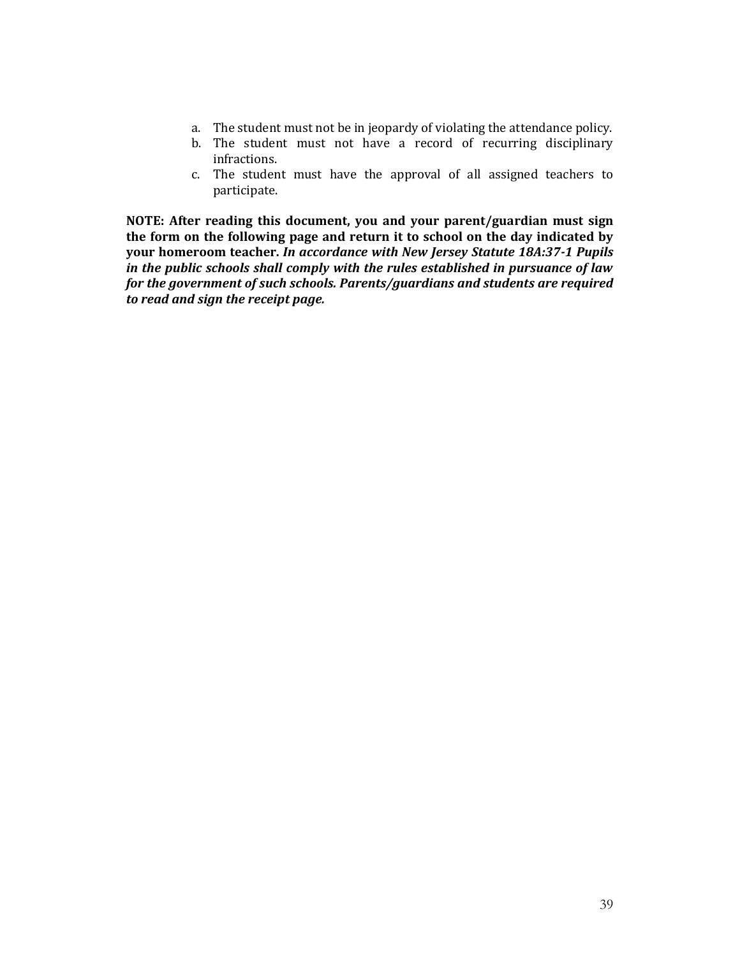- a. The student must not be in jeopardy of violating the attendance policy.
- b. The student must not have a record of recurring disciplinary infractions.
- c. The student must have the approval of all assigned teachers to participate.

**NOTE: After reading this document, you and your parent/guardian must sign the form on the following page and return it to school on the day indicated by your homeroom teacher.** *In accordance with New Jersey Statute 18A:37-1 Pupils in the public schools shall comply with the rules established in pursuance of law for the government of such schools. Parents/guardians and students are required to read and sign the receipt page.*